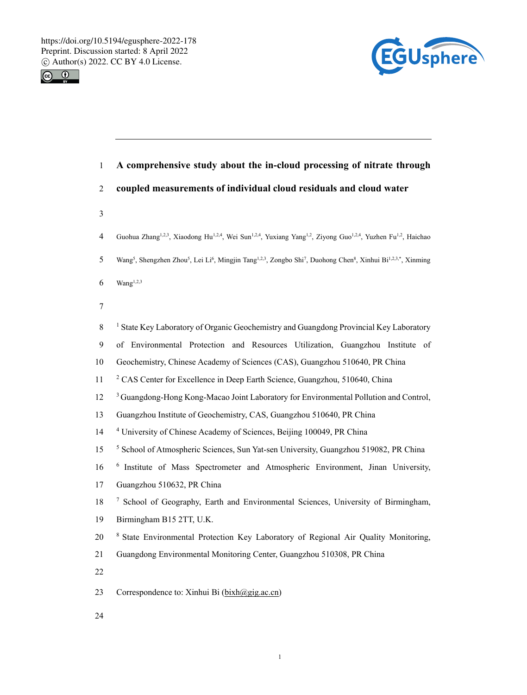



1 **A comprehensive study about the in-cloud processing of nitrate through**  2 **coupled measurements of individual cloud residuals and cloud water**  3 Guohua Zhang1,2,3, Xiaodong Hu1,2,4, Wei Sun1,2,4, Yuxiang Yang1,2, Ziyong Guo1,2,4, Yuzhen Fu1,2 4 , Haichao 5 Wang<sup>5</sup>, Shengzhen Zhou<sup>5</sup>, Lei Li<sup>6</sup>, Mingjin Tang<sup>1,2,3</sup>, Zongbo Shi<sup>7</sup>, Duohong Chen<sup>8</sup>, Xinhui Bi<sup>1,2,3,\*</sup>, Xinming  $6$  Wang<sup>1,2,3</sup> 7 8 State Key Laboratory of Organic Geochemistry and Guangdong Provincial Key Laboratory 9 of Environmental Protection and Resources Utilization, Guangzhou Institute of 10 Geochemistry, Chinese Academy of Sciences (CAS), Guangzhou 510640, PR China <sup>2</sup> CAS Center for Excellence in Deep Earth Science, Guangzhou, 510640, China <sup>3</sup> Guangdong-Hong Kong-Macao Joint Laboratory for Environmental Pollution and Control, 13 Guangzhou Institute of Geochemistry, CAS, Guangzhou 510640, PR China <sup>4</sup> 14 University of Chinese Academy of Sciences, Beijing 100049, PR China <sup>5</sup> School of Atmospheric Sciences, Sun Yat-sen University, Guangzhou 519082, PR China 6 16 Institute of Mass Spectrometer and Atmospheric Environment, Jinan University, 17 Guangzhou 510632, PR China <sup>7</sup> School of Geography, Earth and Environmental Sciences, University of Birmingham, 19 Birmingham B15 2TT, U.K. 20 <sup>8</sup> State Environmental Protection Key Laboratory of Regional Air Quality Monitoring, 21 Guangdong Environmental Monitoring Center, Guangzhou 510308, PR China 22 23 Correspondence to: Xinhui Bi ( $bixh@gig.ac.cn$ )

24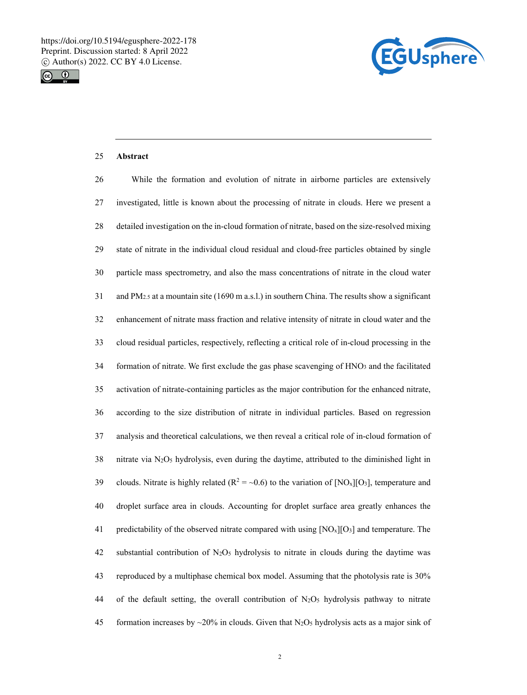



# 25 **Abstract**

| 26 | While the formation and evolution of nitrate in airborne particles are extensively                                              |
|----|---------------------------------------------------------------------------------------------------------------------------------|
| 27 | investigated, little is known about the processing of nitrate in clouds. Here we present a                                      |
| 28 | detailed investigation on the in-cloud formation of nitrate, based on the size-resolved mixing                                  |
| 29 | state of nitrate in the individual cloud residual and cloud-free particles obtained by single                                   |
| 30 | particle mass spectrometry, and also the mass concentrations of nitrate in the cloud water                                      |
| 31 | and $PM_{2.5}$ at a mountain site (1690 m a.s.l.) in southern China. The results show a significant                             |
| 32 | enhancement of nitrate mass fraction and relative intensity of nitrate in cloud water and the                                   |
| 33 | cloud residual particles, respectively, reflecting a critical role of in-cloud processing in the                                |
| 34 | formation of nitrate. We first exclude the gas phase scavenging of HNO <sub>3</sub> and the facilitated                         |
| 35 | activation of nitrate-containing particles as the major contribution for the enhanced nitrate,                                  |
| 36 | according to the size distribution of nitrate in individual particles. Based on regression                                      |
| 37 | analysis and theoretical calculations, we then reveal a critical role of in-cloud formation of                                  |
| 38 | nitrate via N <sub>2</sub> O <sub>5</sub> hydrolysis, even during the daytime, attributed to the diminished light in            |
| 39 | clouds. Nitrate is highly related ( $R^2 = \sim 0.6$ ) to the variation of [NO <sub>x</sub> ][O <sub>3</sub> ], temperature and |
| 40 | droplet surface area in clouds. Accounting for droplet surface area greatly enhances the                                        |
| 41 | predictability of the observed nitrate compared with using $[NO_x][O_3]$ and temperature. The                                   |
| 42 | substantial contribution of N <sub>2</sub> O <sub>5</sub> hydrolysis to nitrate in clouds during the daytime was                |
| 43 | reproduced by a multiphase chemical box model. Assuming that the photolysis rate is 30%                                         |
| 44 | of the default setting, the overall contribution of $N_2O_5$ hydrolysis pathway to nitrate                                      |
| 45 | formation increases by $\sim$ 20% in clouds. Given that N <sub>2</sub> O <sub>5</sub> hydrolysis acts as a major sink of        |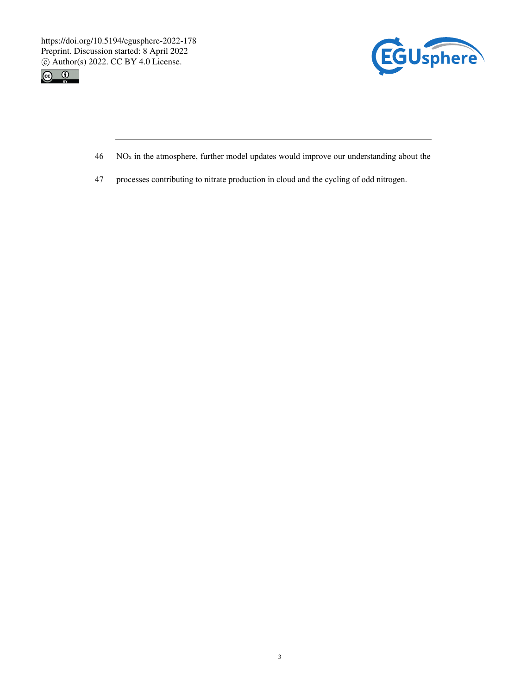



- $46$  NO<sub>x</sub> in the atmosphere, further model updates would improve our understanding about the
- 47 processes contributing to nitrate production in cloud and the cycling of odd nitrogen.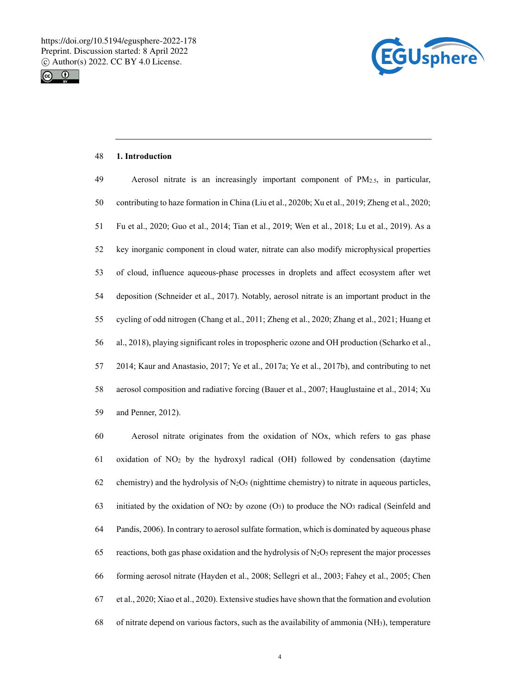



#### 48 **1. Introduction**

| 49 | Aerosol nitrate is an increasingly important component of $PM_{2.5}$ , in particular,            |
|----|--------------------------------------------------------------------------------------------------|
| 50 | contributing to haze formation in China (Liu et al., 2020b; Xu et al., 2019; Zheng et al., 2020; |
| 51 | Fu et al., 2020; Guo et al., 2014; Tian et al., 2019; Wen et al., 2018; Lu et al., 2019). As a   |
| 52 | key inorganic component in cloud water, nitrate can also modify microphysical properties         |
| 53 | of cloud, influence aqueous-phase processes in droplets and affect ecosystem after wet           |
| 54 | deposition (Schneider et al., 2017). Notably, aerosol nitrate is an important product in the     |
| 55 | cycling of odd nitrogen (Chang et al., 2011; Zheng et al., 2020; Zhang et al., 2021; Huang et    |
| 56 | al., 2018), playing significant roles in tropospheric ozone and OH production (Scharko et al.,   |
| 57 | 2014; Kaur and Anastasio, 2017; Ye et al., 2017a; Ye et al., 2017b), and contributing to net     |
| 58 | aerosol composition and radiative forcing (Bauer et al., 2007; Hauglustaine et al., 2014; Xu     |
| 59 | and Penner, 2012).                                                                               |

60 Aerosol nitrate originates from the oxidation of NOx, which refers to gas phase 61 oxidation of NO2 by the hydroxyl radical (OH) followed by condensation (daytime 62 chemistry) and the hydrolysis of  $N_2O_5$  (nighttime chemistry) to nitrate in aqueous particles, 63 initiated by the oxidation of NO<sub>2</sub> by ozone  $(O_3)$  to produce the NO<sub>3</sub> radical (Seinfeld and 64 Pandis, 2006). In contrary to aerosol sulfate formation, which is dominated by aqueous phase 65 reactions, both gas phase oxidation and the hydrolysis of  $N_2O_5$  represent the major processes 66 forming aerosol nitrate (Hayden et al., 2008; Sellegri et al., 2003; Fahey et al., 2005; Chen 67 et al., 2020; Xiao et al., 2020). Extensive studies have shown that the formation and evolution 68 of nitrate depend on various factors, such as the availability of ammonia (NH3), temperature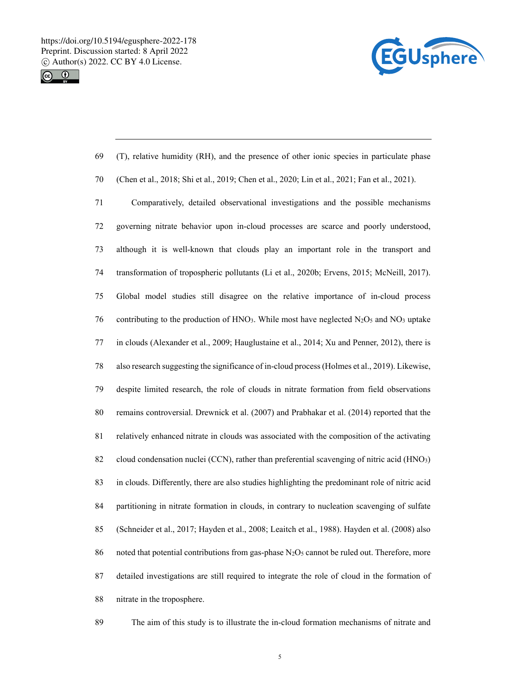



| 69     | (T), relative humidity (RH), and the presence of other ionic species in particulate phase                                               |
|--------|-----------------------------------------------------------------------------------------------------------------------------------------|
| $70\,$ | (Chen et al., 2018; Shi et al., 2019; Chen et al., 2020; Lin et al., 2021; Fan et al., 2021).                                           |
| 71     | Comparatively, detailed observational investigations and the possible mechanisms                                                        |
| $72\,$ | governing nitrate behavior upon in-cloud processes are scarce and poorly understood,                                                    |
| 73     | although it is well-known that clouds play an important role in the transport and                                                       |
| 74     | transformation of tropospheric pollutants (Li et al., 2020b; Ervens, 2015; McNeill, 2017).                                              |
| 75     | Global model studies still disagree on the relative importance of in-cloud process                                                      |
| 76     | contributing to the production of HNO <sub>3</sub> . While most have neglected N <sub>2</sub> O <sub>5</sub> and NO <sub>3</sub> uptake |
| 77     | in clouds (Alexander et al., 2009; Hauglustaine et al., 2014; Xu and Penner, 2012), there is                                            |
| 78     | also research suggesting the significance of in-cloud process (Holmes et al., 2019). Likewise,                                          |
| 79     | despite limited research, the role of clouds in nitrate formation from field observations                                               |
| $80\,$ | remains controversial. Drewnick et al. (2007) and Prabhakar et al. (2014) reported that the                                             |
| 81     | relatively enhanced nitrate in clouds was associated with the composition of the activating                                             |
| 82     | cloud condensation nuclei (CCN), rather than preferential scavenging of nitric acid (HNO3)                                              |
| 83     | in clouds. Differently, there are also studies highlighting the predominant role of nitric acid                                         |
| 84     | partitioning in nitrate formation in clouds, in contrary to nucleation scavenging of sulfate                                            |
| 85     | (Schneider et al., 2017; Hayden et al., 2008; Leaitch et al., 1988). Hayden et al. (2008) also                                          |
| 86     | noted that potential contributions from gas-phase N <sub>2</sub> O <sub>5</sub> cannot be ruled out. Therefore, more                    |
| 87     | detailed investigations are still required to integrate the role of cloud in the formation of                                           |
| $88\,$ | nitrate in the troposphere.                                                                                                             |

89 The aim of this study is to illustrate the in-cloud formation mechanisms of nitrate and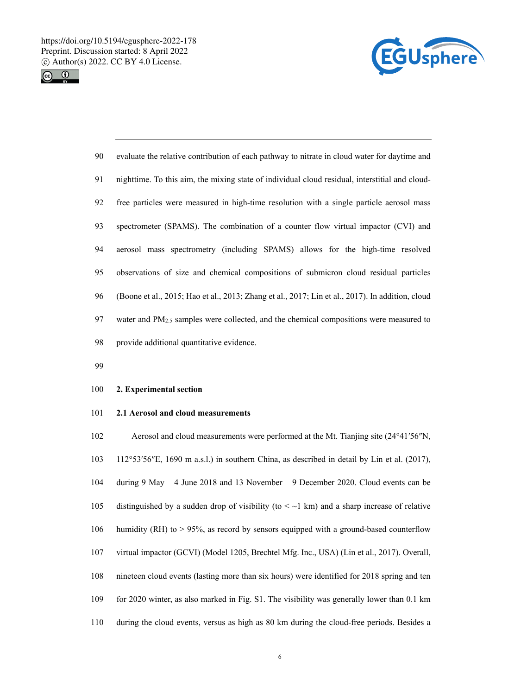



| 90 | evaluate the relative contribution of each pathway to nitrate in cloud water for daytime and       |
|----|----------------------------------------------------------------------------------------------------|
| 91 | nighttime. To this aim, the mixing state of individual cloud residual, interstitial and cloud-     |
| 92 | free particles were measured in high-time resolution with a single particle aerosol mass           |
| 93 | spectrometer (SPAMS). The combination of a counter flow virtual impactor (CVI) and                 |
| 94 | aerosol mass spectrometry (including SPAMS) allows for the high-time resolved                      |
| 95 | observations of size and chemical compositions of submicron cloud residual particles               |
| 96 | (Boone et al., 2015; Hao et al., 2013; Zhang et al., 2017; Lin et al., 2017). In addition, cloud   |
| 97 | water and PM <sub>2.5</sub> samples were collected, and the chemical compositions were measured to |
| 98 | provide additional quantitative evidence.                                                          |

99

### 100 **2. Experimental section**

## 101 **2.1 Aerosol and cloud measurements**

102 Aerosol and cloud measurements were performed at the Mt. Tianjing site (24°41′56″N, 103 112°53′56″E, 1690 m a.s.l.) in southern China, as described in detail by Lin et al. (2017), 104 during 9 May – 4 June 2018 and 13 November – 9 December 2020. Cloud events can be 105 distinguished by a sudden drop of visibility (to  $\lt \sim 1$  km) and a sharp increase of relative 106 humidity (RH) to > 95%, as record by sensors equipped with a ground-based counterflow 107 virtual impactor (GCVI) (Model 1205, Brechtel Mfg. Inc., USA) (Lin et al., 2017). Overall, 108 nineteen cloud events (lasting more than six hours) were identified for 2018 spring and ten 109 for 2020 winter, as also marked in Fig. S1. The visibility was generally lower than 0.1 km 110 during the cloud events, versus as high as 80 km during the cloud-free periods. Besides a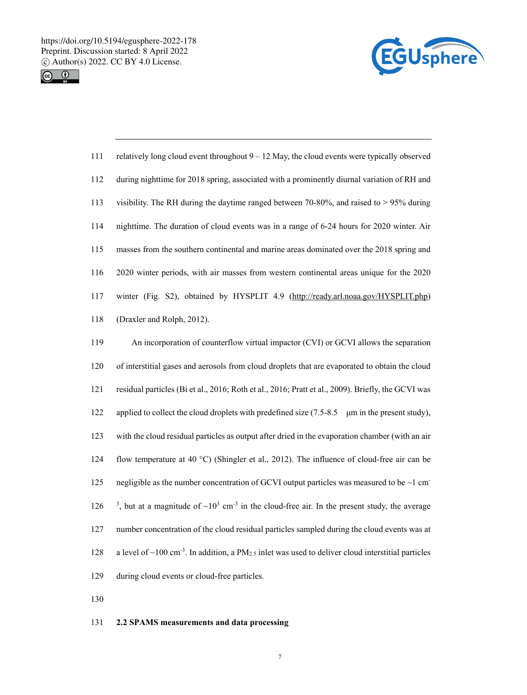



| 111 | relatively long cloud event throughout $9 - 12$ May, the cloud events were typically observed                              |
|-----|----------------------------------------------------------------------------------------------------------------------------|
| 112 | during nighttime for 2018 spring, associated with a prominently diurnal variation of RH and                                |
| 113 | visibility. The RH during the daytime ranged between 70-80%, and raised to $> 95\%$ during                                 |
| 114 | nighttime. The duration of cloud events was in a range of 6-24 hours for 2020 winter. Air                                  |
| 115 | masses from the southern continental and marine areas dominated over the 2018 spring and                                   |
| 116 | 2020 winter periods, with air masses from western continental areas unique for the 2020                                    |
| 117 | winter (Fig. S2), obtained by HYSPLIT 4.9 (http://ready.arl.noaa.gov/HYSPLIT.php)                                          |
| 118 | (Draxler and Rolph, 2012).                                                                                                 |
| 119 | An incorporation of counterflow virtual impactor (CVI) or GCVI allows the separation                                       |
| 120 | of interstitial gases and aerosols from cloud droplets that are evaporated to obtain the cloud                             |
| 121 | residual particles (Bi et al., 2016; Roth et al., 2016; Pratt et al., 2009). Briefly, the GCVI was                         |
| 122 | applied to collect the cloud droplets with predefined size $(7.5-8.5 \ \mu m)$ in the present study),                      |
| 123 | with the cloud residual particles as output after dried in the evaporation chamber (with an air                            |
| 124 | flow temperature at 40 °C) (Shingler et al., 2012). The influence of cloud-free air can be                                 |
| 125 | negligible as the number concentration of GCVI output particles was measured to be $\sim$ 1 cm <sup>-</sup>                |
| 126 | <sup>3</sup> , but at a magnitude of $\sim 10^3$ cm <sup>-3</sup> in the cloud-free air. In the present study, the average |
| 127 | number concentration of the cloud residual particles sampled during the cloud events was at                                |

- 128 a level of  $\sim$ 100 cm<sup>-3</sup>. In addition, a PM<sub>2.5</sub> inlet was used to deliver cloud interstitial particles
- 129 during cloud events or cloud-free particles.
- 130

## 131 **2.2 SPAMS measurements and data processing**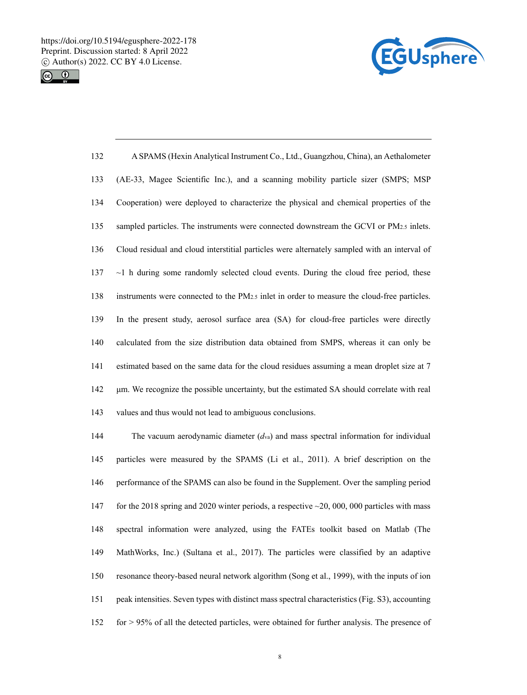



| 132 | A SPAMS (Hexin Analytical Instrument Co., Ltd., Guangzhou, China), an Aethalometer                 |
|-----|----------------------------------------------------------------------------------------------------|
| 133 | (AE-33, Magee Scientific Inc.), and a scanning mobility particle sizer (SMPS; MSP)                 |
| 134 | Cooperation) were deployed to characterize the physical and chemical properties of the             |
| 135 | sampled particles. The instruments were connected downstream the GCVI or PM <sub>2.5</sub> inlets. |
| 136 | Cloud residual and cloud interstitial particles were alternately sampled with an interval of       |
| 137 | $\sim$ 1 h during some randomly selected cloud events. During the cloud free period, these         |
| 138 | instruments were connected to the $PM_{2.5}$ inlet in order to measure the cloud-free particles.   |
| 139 | In the present study, aerosol surface area (SA) for cloud-free particles were directly             |
| 140 | calculated from the size distribution data obtained from SMPS, whereas it can only be              |
| 141 | estimated based on the same data for the cloud residues assuming a mean droplet size at 7          |
| 142 | um. We recognize the possible uncertainty, but the estimated SA should correlate with real         |
| 143 | values and thus would not lead to ambiguous conclusions.                                           |

144 The vacuum aerodynamic diameter (*d*va) and mass spectral information for individual 145 particles were measured by the SPAMS (Li et al., 2011). A brief description on the 146 performance of the SPAMS can also be found in the Supplement. Over the sampling period 147 for the 2018 spring and 2020 winter periods, a respective  $\sim$  20, 000, 000 particles with mass 148 spectral information were analyzed, using the FATEs toolkit based on Matlab (The 149 MathWorks, Inc.) (Sultana et al., 2017). The particles were classified by an adaptive 150 resonance theory-based neural network algorithm (Song et al., 1999), with the inputs of ion 151 peak intensities. Seven types with distinct mass spectral characteristics (Fig. S3), accounting 152 for > 95% of all the detected particles, were obtained for further analysis. The presence of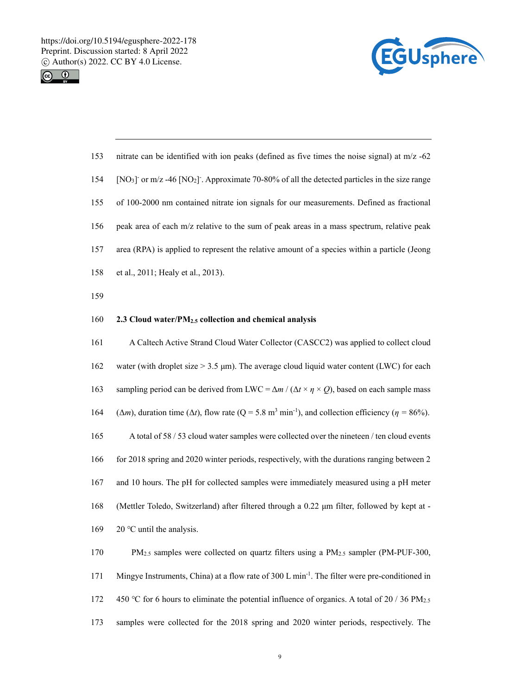



| 153 | nitrate can be identified with ion peaks (defined as five times the noise signal) at $m/z$ -62                                                 |
|-----|------------------------------------------------------------------------------------------------------------------------------------------------|
| 154 | [NO <sub>3</sub> ] or $m/z$ -46 [NO <sub>2</sub> ]. Approximate 70-80% of all the detected particles in the size range                         |
| 155 | of 100-2000 nm contained nitrate ion signals for our measurements. Defined as fractional                                                       |
| 156 | peak area of each m/z relative to the sum of peak areas in a mass spectrum, relative peak                                                      |
| 157 | area (RPA) is applied to represent the relative amount of a species within a particle (Jeong                                                   |
| 158 | et al., 2011; Healy et al., 2013).                                                                                                             |
| 159 |                                                                                                                                                |
| 160 | 2.3 Cloud water/PM <sub>2.5</sub> collection and chemical analysis                                                                             |
| 161 | A Caltech Active Strand Cloud Water Collector (CASCC2) was applied to collect cloud                                                            |
| 162 | water (with droplet size $> 3.5$ µm). The average cloud liquid water content (LWC) for each                                                    |
| 163 | sampling period can be derived from LWC = $\Delta m / (\Delta t \times \eta \times Q)$ , based on each sample mass                             |
| 164 | $(\Delta m)$ , duration time ( $\Delta t$ ), flow rate (Q = 5.8 m <sup>3</sup> min <sup>-1</sup> ), and collection efficiency ( $\eta$ = 86%). |
| 165 | A total of 58 / 53 cloud water samples were collected over the nineteen / ten cloud events                                                     |
| 166 | for 2018 spring and 2020 winter periods, respectively, with the durations ranging between 2                                                    |
| 167 | and 10 hours. The pH for collected samples were immediately measured using a pH meter                                                          |
| 168 | (Mettler Toledo, Switzerland) after filtered through a 0.22 µm filter, followed by kept at -                                                   |
| 169 | $20^{\circ}$ C until the analysis.                                                                                                             |
| 170 | PM <sub>2.5</sub> samples were collected on quartz filters using a PM <sub>2.5</sub> sampler (PM-PUF-300,                                      |
| 171 | Mingye Instruments, China) at a flow rate of 300 L min <sup>-1</sup> . The filter were pre-conditioned in                                      |
| 172 | 450 °C for 6 hours to eliminate the potential influence of organics. A total of 20 / 36 PM <sub>2.5</sub>                                      |

173 samples were collected for the 2018 spring and 2020 winter periods, respectively. The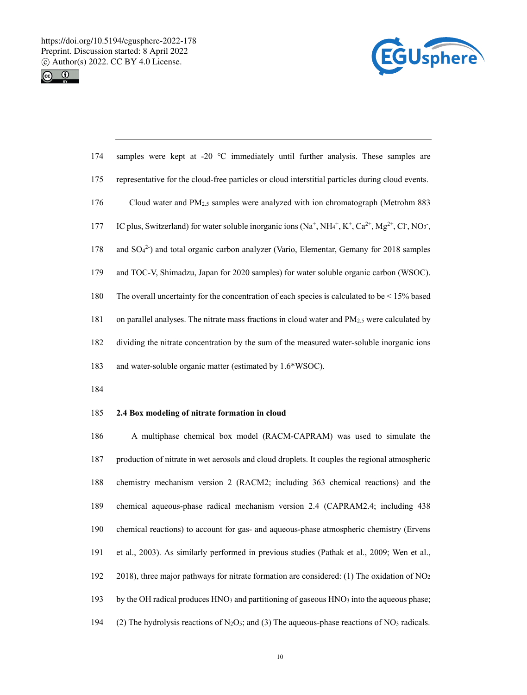



| 174 | samples were kept at -20 $^{\circ}$ C immediately until further analysis. These samples are                 |
|-----|-------------------------------------------------------------------------------------------------------------|
| 175 | representative for the cloud-free particles or cloud interstitial particles during cloud events.            |
| 176 | Cloud water and $PM_{2.5}$ samples were analyzed with ion chromatograph (Metrohm 883)                       |
| 177 | IC plus, Switzerland) for water soluble inorganic ions $(Na^+, NHa^+, K^+, Ca^{2+}, Mg^{2+}, Cl^-, NO_3^-)$ |
| 178 | and $SO42$ and total organic carbon analyzer (Vario, Elementar, Gemany for 2018 samples                     |
| 179 | and TOC-V, Shimadzu, Japan for 2020 samples) for water soluble organic carbon (WSOC).                       |
| 180 | The overall uncertainty for the concentration of each species is calculated to be $\leq 15\%$ based         |
| 181 | on parallel analyses. The nitrate mass fractions in cloud water and PM <sub>2.5</sub> were calculated by    |
| 182 | dividing the nitrate concentration by the sum of the measured water-soluble inorganic ions                  |
| 183 | and water-soluble organic matter (estimated by 1.6*WSOC).                                                   |

184

## 185 **2.4 Box modeling of nitrate formation in cloud**

186 A multiphase chemical box model (RACM-CAPRAM) was used to simulate the 187 production of nitrate in wet aerosols and cloud droplets. It couples the regional atmospheric 188 chemistry mechanism version 2 (RACM2; including 363 chemical reactions) and the 189 chemical aqueous-phase radical mechanism version 2.4 (CAPRAM2.4; including 438 190 chemical reactions) to account for gas- and aqueous-phase atmospheric chemistry (Ervens 191 et al., 2003). As similarly performed in previous studies (Pathak et al., 2009; Wen et al., 192 2018), three major pathways for nitrate formation are considered: (1) The oxidation of NO2 193 by the OH radical produces HNO3 and partitioning of gaseous HNO3 into the aqueous phase; 194 (2) The hydrolysis reactions of N<sub>2</sub>O<sub>5</sub>; and (3) The aqueous-phase reactions of NO<sub>3</sub> radicals.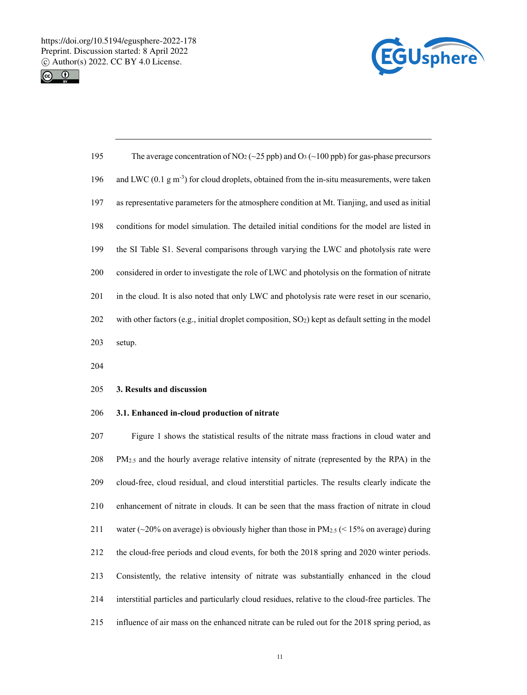



| 195 | The average concentration of NO <sub>2</sub> ( $\sim$ 25 ppb) and O <sub>3</sub> ( $\sim$ 100 ppb) for gas-phase precursors |
|-----|-----------------------------------------------------------------------------------------------------------------------------|
| 196 | and LWC $(0.1 \text{ g m}^{-3})$ for cloud droplets, obtained from the in-situ measurements, were taken                     |
| 197 | as representative parameters for the atmosphere condition at Mt. Tianjing, and used as initial                              |
| 198 | conditions for model simulation. The detailed initial conditions for the model are listed in                                |
| 199 | the SI Table S1. Several comparisons through varying the LWC and photolysis rate were                                       |
| 200 | considered in order to investigate the role of LWC and photolysis on the formation of nitrate                               |
| 201 | in the cloud. It is also noted that only LWC and photolysis rate were reset in our scenario,                                |
| 202 | with other factors (e.g., initial droplet composition, $SO2$ ) kept as default setting in the model                         |
| 203 | setup.                                                                                                                      |

204

### 205 **3. Results and discussion**

## 206 **3.1. Enhanced in-cloud production of nitrate**

207 Figure 1 shows the statistical results of the nitrate mass fractions in cloud water and 208 PM2.5 and the hourly average relative intensity of nitrate (represented by the RPA) in the 209 cloud-free, cloud residual, and cloud interstitial particles. The results clearly indicate the 210 enhancement of nitrate in clouds. It can be seen that the mass fraction of nitrate in cloud 211 water  $\left(\sim 20\%$  on average) is obviously higher than those in PM<sub>2.5</sub> (< 15% on average) during 212 the cloud-free periods and cloud events, for both the 2018 spring and 2020 winter periods. 213 Consistently, the relative intensity of nitrate was substantially enhanced in the cloud 214 interstitial particles and particularly cloud residues, relative to the cloud-free particles. The 215 influence of air mass on the enhanced nitrate can be ruled out for the 2018 spring period, as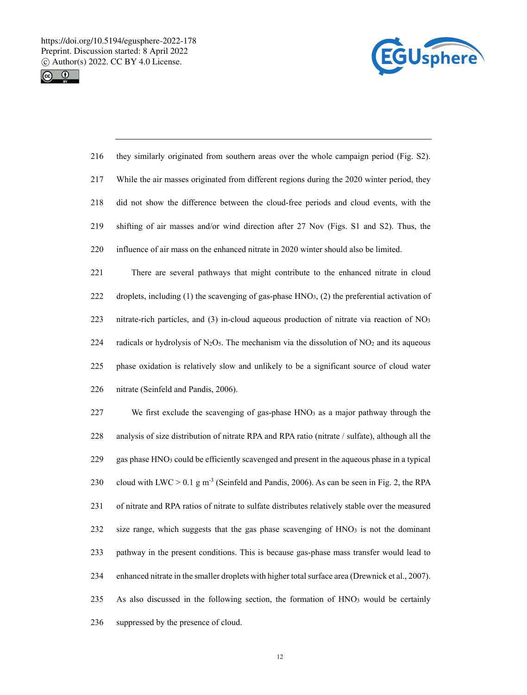



| 216 | they similarly originated from southern areas over the whole campaign period (Fig. S2).                 |
|-----|---------------------------------------------------------------------------------------------------------|
| 217 | While the air masses originated from different regions during the 2020 winter period, they              |
| 218 | did not show the difference between the cloud-free periods and cloud events, with the                   |
| 219 | shifting of air masses and/or wind direction after 27 Nov (Figs. S1 and S2). Thus, the                  |
| 220 | influence of air mass on the enhanced nitrate in 2020 winter should also be limited.                    |
| 221 | There are several pathways that might contribute to the enhanced nitrate in cloud                       |
| 222 | droplets, including (1) the scavenging of gas-phase $HNO3$ , (2) the preferential activation of         |
| 223 | nitrate-rich particles, and (3) in-cloud aqueous production of nitrate via reaction of NO <sub>3</sub>  |
| 224 | radicals or hydrolysis of $N_2O_5$ . The mechanism via the dissolution of $NO2$ and its aqueous         |
| 225 | phase oxidation is relatively slow and unlikely to be a significant source of cloud water               |
| 226 | nitrate (Seinfeld and Pandis, 2006).                                                                    |
| 227 | We first exclude the scavenging of gas-phase HNO <sub>3</sub> as a major pathway through the            |
| 228 | analysis of size distribution of nitrate RPA and RPA ratio (nitrate / sulfate), although all the        |
| 229 | gas phase HNO <sub>3</sub> could be efficiently scavenged and present in the aqueous phase in a typical |
| 230 | cloud with LWC $> 0.1$ g m <sup>-3</sup> (Seinfeld and Pandis, 2006). As can be seen in Fig. 2, the RPA |
| 231 | of nitrate and RPA ratios of nitrate to sulfate distributes relatively stable over the measured         |
| 232 | size range, which suggests that the gas phase scavenging of HNO3 is not the dominant                    |
| 233 | pathway in the present conditions. This is because gas-phase mass transfer would lead to                |
| 234 | enhanced nitrate in the smaller droplets with higher total surface area (Drewnick et al., 2007).        |
| 235 | As also discussed in the following section, the formation of HNO <sub>3</sub> would be certainly        |
| 236 | suppressed by the presence of cloud.                                                                    |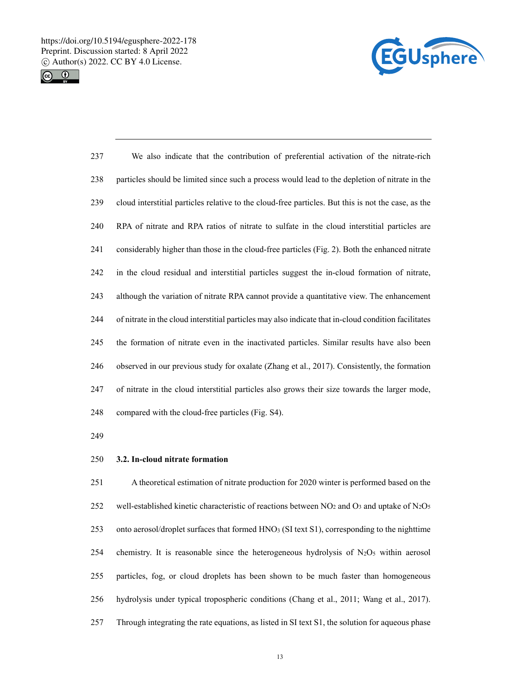



| 237 | We also indicate that the contribution of preferential activation of the nitrate-rich                |
|-----|------------------------------------------------------------------------------------------------------|
| 238 | particles should be limited since such a process would lead to the depletion of nitrate in the       |
| 239 | cloud interstitial particles relative to the cloud-free particles. But this is not the case, as the  |
| 240 | RPA of nitrate and RPA ratios of nitrate to sulfate in the cloud interstitial particles are          |
| 241 | considerably higher than those in the cloud-free particles (Fig. 2). Both the enhanced nitrate       |
| 242 | in the cloud residual and interstitial particles suggest the in-cloud formation of nitrate,          |
| 243 | although the variation of nitrate RPA cannot provide a quantitative view. The enhancement            |
| 244 | of nitrate in the cloud interstitial particles may also indicate that in-cloud condition facilitates |
| 245 | the formation of nitrate even in the inactivated particles. Similar results have also been           |
| 246 | observed in our previous study for oxalate (Zhang et al., 2017). Consistently, the formation         |
| 247 | of nitrate in the cloud interstitial particles also grows their size towards the larger mode,        |
| 248 | compared with the cloud-free particles (Fig. S4).                                                    |

249

## 250 **3.2. In-cloud nitrate formation**

251 A theoretical estimation of nitrate production for 2020 winter is performed based on the 252 well-established kinetic characteristic of reactions between NO<sub>2</sub> and O<sub>3</sub> and uptake of N<sub>2</sub>O<sub>5</sub> 253 onto aerosol/droplet surfaces that formed HNO3 (SI text S1), corresponding to the nighttime 254 chemistry. It is reasonable since the heterogeneous hydrolysis of  $N_2O_5$  within aerosol 255 particles, fog, or cloud droplets has been shown to be much faster than homogeneous 256 hydrolysis under typical tropospheric conditions (Chang et al., 2011; Wang et al., 2017). 257 Through integrating the rate equations, as listed in SI text S1, the solution for aqueous phase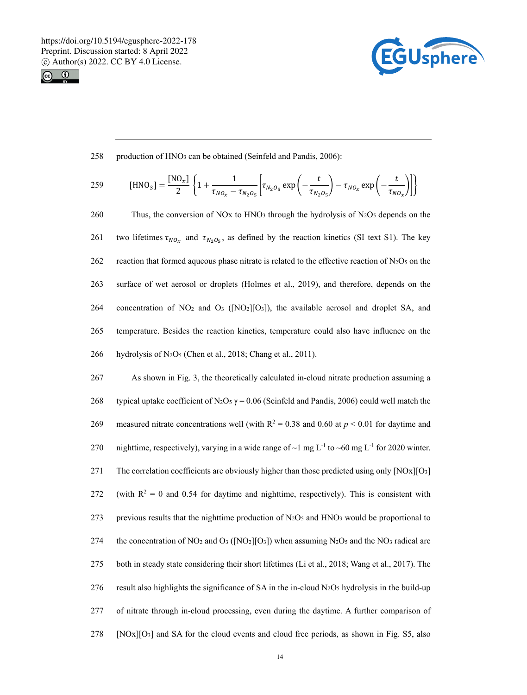



258 production of HNO<sub>3</sub> can be obtained (Seinfeld and Pandis, 2006):

259 [HNO<sub>3</sub>] = 
$$
\frac{[NO_x]}{2} \left\{ 1 + \frac{1}{\tau_{NO_x} - \tau_{N_2O_5}} \left[ \tau_{N_2O_5} \exp\left( -\frac{t}{\tau_{N_2O_5}} \right) - \tau_{NO_x} \exp\left( -\frac{t}{\tau_{NO_x}} \right) \right] \right\}
$$

260 Thus, the conversion of NOx to HNO<sub>3</sub> through the hydrolysis of N<sub>2</sub>O<sub>5</sub> depends on the 261 two lifetimes  $\tau_{NO_x}$  and  $\tau_{N_2O_x}$ , as defined by the reaction kinetics (SI text S1). The key 262 reaction that formed aqueous phase nitrate is related to the effective reaction of  $N_2O_5$  on the 263 surface of wet aerosol or droplets (Holmes et al., 2019), and therefore, depends on the 264 concentration of  $NO<sub>2</sub>$  and  $O<sub>3</sub>$  ([NO<sub>2</sub>][O<sub>3</sub>]), the available aerosol and droplet SA, and 265 temperature. Besides the reaction kinetics, temperature could also have influence on the 266 hydrolysis of N<sub>2</sub>O<sub>5</sub> (Chen et al., 2018; Chang et al., 2011).

267 As shown in Fig. 3, the theoretically calculated in-cloud nitrate production assuming a 268 typical uptake coefficient of N<sub>2</sub>O<sub>5</sub>  $\gamma$  = 0.06 (Seinfeld and Pandis, 2006) could well match the 269 measured nitrate concentrations well (with  $R^2 = 0.38$  and 0.60 at  $p < 0.01$  for daytime and 270 nighttime, respectively), varying in a wide range of  $\sim$ 1 mg L<sup>-1</sup> to  $\sim$ 60 mg L<sup>-1</sup> for 2020 winter. 271 The correlation coefficients are obviously higher than those predicted using only [NOx][O3] 272 (with  $R^2 = 0$  and 0.54 for daytime and nighttime, respectively). This is consistent with 273 previous results that the nighttime production of  $N_2O_5$  and  $HNO_3$  would be proportional to 274 the concentration of NO<sub>2</sub> and O<sub>3</sub> ([NO<sub>2</sub>][O<sub>3</sub>]) when assuming N<sub>2</sub>O<sub>5</sub> and the NO<sub>3</sub> radical are 275 both in steady state considering their short lifetimes (Li et al., 2018; Wang et al., 2017). The 276 result also highlights the significance of SA in the in-cloud  $N_2O_5$  hydrolysis in the build-up 277 of nitrate through in-cloud processing, even during the daytime. A further comparison of  $278$  [NOx][O<sub>3</sub>] and SA for the cloud events and cloud free periods, as shown in Fig. S5, also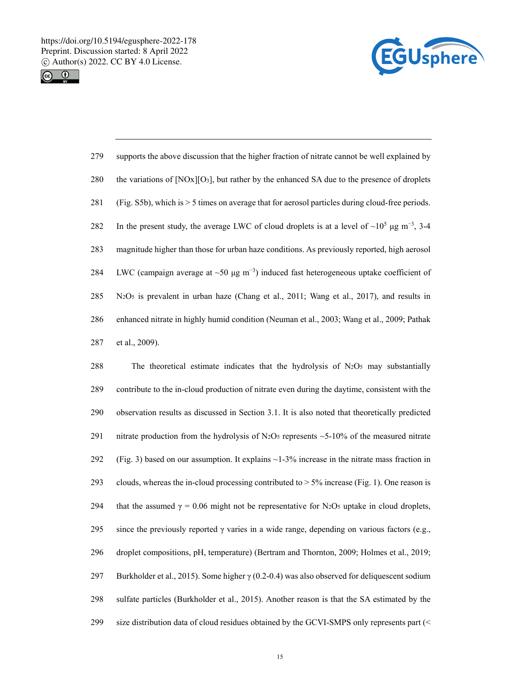



| 279 | supports the above discussion that the higher fraction of nitrate cannot be well explained by                   |
|-----|-----------------------------------------------------------------------------------------------------------------|
| 280 | the variations of $[NOx][O_3]$ , but rather by the enhanced SA due to the presence of droplets                  |
| 281 | (Fig. S5b), which is > 5 times on average that for aerosol particles during cloud-free periods.                 |
| 282 | In the present study, the average LWC of cloud droplets is at a level of $\sim 10^5 \mu g \text{ m}^{-3}$ , 3-4 |
| 283 | magnitude higher than those for urban haze conditions. As previously reported, high aerosol                     |
| 284 | LWC (campaign average at $\sim 50 \mu g \text{ m}^{-3}$ ) induced fast heterogeneous uptake coefficient of      |
| 285 | $N_2O_5$ is prevalent in urban haze (Chang et al., 2011; Wang et al., 2017), and results in                     |
| 286 | enhanced nitrate in highly humid condition (Neuman et al., 2003; Wang et al., 2009; Pathak                      |
| 287 | et al., 2009).                                                                                                  |

288 The theoretical estimate indicates that the hydrolysis of N2O5 may substantially 289 contribute to the in-cloud production of nitrate even during the daytime, consistent with the 290 observation results as discussed in Section 3.1. It is also noted that theoretically predicted 291 nitrate production from the hydrolysis of N<sub>2</sub>O<sub>5</sub> represents  $\sim$  5-10% of the measured nitrate 292 (Fig. 3) based on our assumption. It explains  $\sim$  1-3% increase in the nitrate mass fraction in 293 clouds, whereas the in-cloud processing contributed to  $> 5\%$  increase (Fig. 1). One reason is 294 that the assumed  $\gamma = 0.06$  might not be representative for N<sub>2</sub>O<sub>5</sub> uptake in cloud droplets, 295 since the previously reported  $\gamma$  varies in a wide range, depending on various factors (e.g., 296 droplet compositions, pH, temperature) (Bertram and Thornton, 2009; Holmes et al., 2019; 297 Burkholder et al., 2015). Some higher  $\gamma$  (0.2-0.4) was also observed for deliquescent sodium 298 sulfate particles (Burkholder et al., 2015). Another reason is that the SA estimated by the 299 size distribution data of cloud residues obtained by the GCVI-SMPS only represents part (<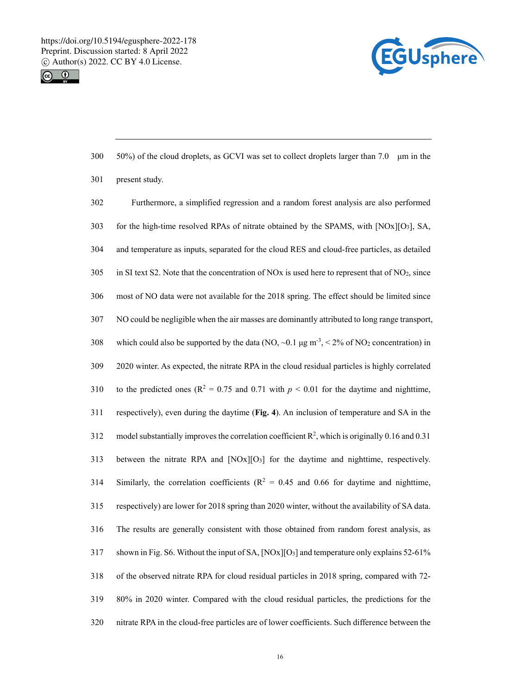



| 300 | 50%) of the cloud droplets, as GCVI was set to collect droplets larger than 7.0 $\mu$ m in the                           |
|-----|--------------------------------------------------------------------------------------------------------------------------|
| 301 | present study.                                                                                                           |
| 302 | Furthermore, a simplified regression and a random forest analysis are also performed                                     |
| 303 | for the high-time resolved RPAs of nitrate obtained by the SPAMS, with [NOx][O3], SA,                                    |
| 304 | and temperature as inputs, separated for the cloud RES and cloud-free particles, as detailed                             |
| 305 | in SI text S2. Note that the concentration of NOx is used here to represent that of NO <sub>2</sub> , since              |
| 306 | most of NO data were not available for the 2018 spring. The effect should be limited since                               |
| 307 | NO could be negligible when the air masses are dominantly attributed to long range transport,                            |
| 308 | which could also be supported by the data (NO, $\sim$ 0.1 µg m <sup>-3</sup> , < 2% of NO <sub>2</sub> concentration) in |
| 309 | 2020 winter. As expected, the nitrate RPA in the cloud residual particles is highly correlated                           |
| 310 | to the predicted ones ( $R^2 = 0.75$ and 0.71 with $p < 0.01$ for the daytime and nighttime,                             |
| 311 | respectively), even during the daytime (Fig. 4). An inclusion of temperature and SA in the                               |
| 312 | model substantially improves the correlation coefficient $\mathbb{R}^2$ , which is originally 0.16 and 0.31              |
| 313 | between the nitrate RPA and [NOx][O <sub>3</sub> ] for the daytime and nighttime, respectively.                          |
| 314 | Similarly, the correlation coefficients ( $R^2 = 0.45$ and 0.66 for daytime and nighttime,                               |
| 315 | respectively) are lower for 2018 spring than 2020 winter, without the availability of SA data.                           |
| 316 | The results are generally consistent with those obtained from random forest analysis, as                                 |
| 317 | shown in Fig. S6. Without the input of SA, [NOx][O <sub>3</sub> ] and temperature only explains 52-61%                   |
| 318 | of the observed nitrate RPA for cloud residual particles in 2018 spring, compared with 72-                               |
| 319 | 80% in 2020 winter. Compared with the cloud residual particles, the predictions for the                                  |
| 320 | nitrate RPA in the cloud-free particles are of lower coefficients. Such difference between the                           |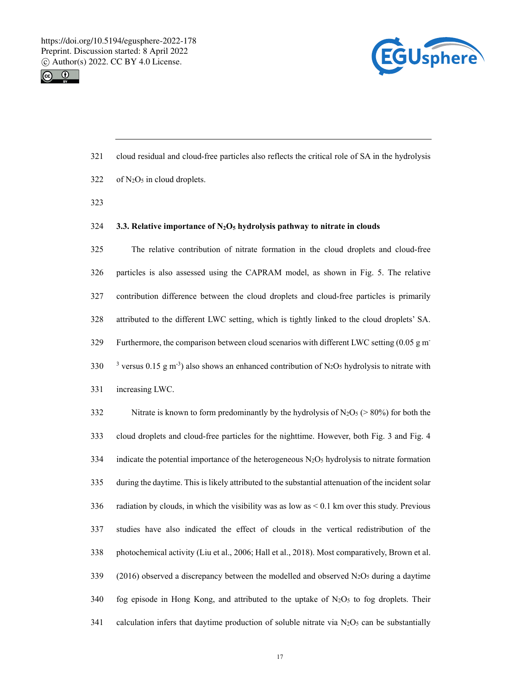



- 321 cloud residual and cloud-free particles also reflects the critical role of SA in the hydrolysis
- $322$  of N<sub>2</sub>O<sub>5</sub> in cloud droplets.
- 323

#### 324 **3.3. Relative importance of N2O5 hydrolysis pathway to nitrate in clouds**

325 The relative contribution of nitrate formation in the cloud droplets and cloud-free 326 particles is also assessed using the CAPRAM model, as shown in Fig. 5. The relative 327 contribution difference between the cloud droplets and cloud-free particles is primarily 328 attributed to the different LWC setting, which is tightly linked to the cloud droplets' SA. Furthermore, the comparison between cloud scenarios with different LWC setting  $(0.05 \text{ g m})$ 330 <sup>3</sup> versus 0.15 g m<sup>-3</sup>) also shows an enhanced contribution of N<sub>2</sub>O<sub>5</sub> hydrolysis to nitrate with 331 increasing LWC.

332 Nitrate is known to form predominantly by the hydrolysis of  $N_2O_5$  (> 80%) for both the 333 cloud droplets and cloud-free particles for the nighttime. However, both Fig. 3 and Fig. 4 334 indicate the potential importance of the heterogeneous  $N_2O_5$  hydrolysis to nitrate formation 335 during the daytime. This is likely attributed to the substantial attenuation of the incident solar 336 radiation by clouds, in which the visibility was as low as  $\leq 0.1$  km over this study. Previous 337 studies have also indicated the effect of clouds in the vertical redistribution of the 338 photochemical activity (Liu et al., 2006; Hall et al., 2018). Most comparatively, Brown et al. 339 (2016) observed a discrepancy between the modelled and observed  $N_2O_5$  during a daytime 340 fog episode in Hong Kong, and attributed to the uptake of  $N_2O_5$  to fog droplets. Their 341 calculation infers that daytime production of soluble nitrate via  $N_2O_5$  can be substantially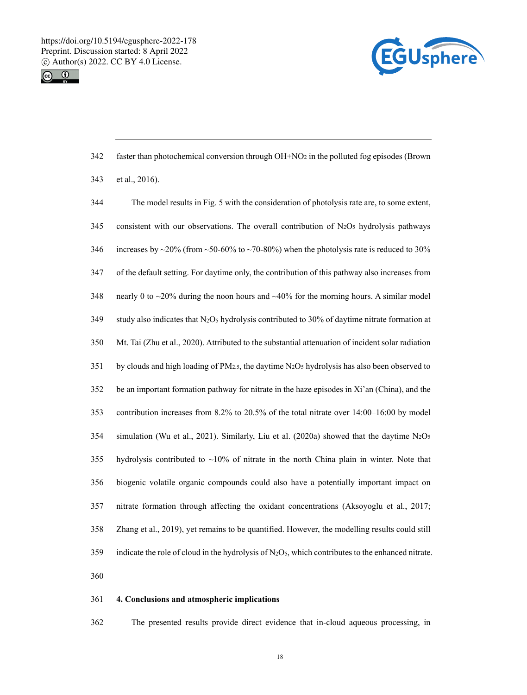



| 342 | faster than photochemical conversion through $OH + NO2$ in the polluted fog episodes (Brown                           |
|-----|-----------------------------------------------------------------------------------------------------------------------|
| 343 | et al., 2016).                                                                                                        |
| 344 | The model results in Fig. 5 with the consideration of photolysis rate are, to some extent,                            |
| 345 | consistent with our observations. The overall contribution of $N_2O5$ hydrolysis pathways                             |
| 346 | increases by $\sim$ 20% (from $\sim$ 50-60% to $\sim$ 70-80%) when the photolysis rate is reduced to 30%              |
| 347 | of the default setting. For daytime only, the contribution of this pathway also increases from                        |
| 348 | nearly 0 to $\sim$ 20% during the noon hours and $\sim$ 40% for the morning hours. A similar model                    |
| 349 | study also indicates that N <sub>2</sub> O <sub>5</sub> hydrolysis contributed to 30% of daytime nitrate formation at |
| 350 | Mt. Tai (Zhu et al., 2020). Attributed to the substantial attenuation of incident solar radiation                     |
| 351 | by clouds and high loading of $PM_{2,5}$ , the daytime $N_2O_5$ hydrolysis has also been observed to                  |
| 352 | be an important formation pathway for nitrate in the haze episodes in Xi'an (China), and the                          |
| 353 | contribution increases from 8.2% to 20.5% of the total nitrate over 14:00-16:00 by model                              |
| 354 | simulation (Wu et al., 2021). Similarly, Liu et al. (2020a) showed that the daytime $N_2O_5$                          |
| 355 | hydrolysis contributed to $\sim$ 10% of nitrate in the north China plain in winter. Note that                         |
| 356 | biogenic volatile organic compounds could also have a potentially important impact on                                 |
| 357 | nitrate formation through affecting the oxidant concentrations (Aksoyoglu et al., 2017;                               |
| 358 | Zhang et al., 2019), yet remains to be quantified. However, the modelling results could still                         |
| 359 | indicate the role of cloud in the hydrolysis of $N_2O_5$ , which contributes to the enhanced nitrate.                 |
| 360 |                                                                                                                       |
|     |                                                                                                                       |

# 361 **4. Conclusions and atmospheric implications**

362 The presented results provide direct evidence that in-cloud aqueous processing, in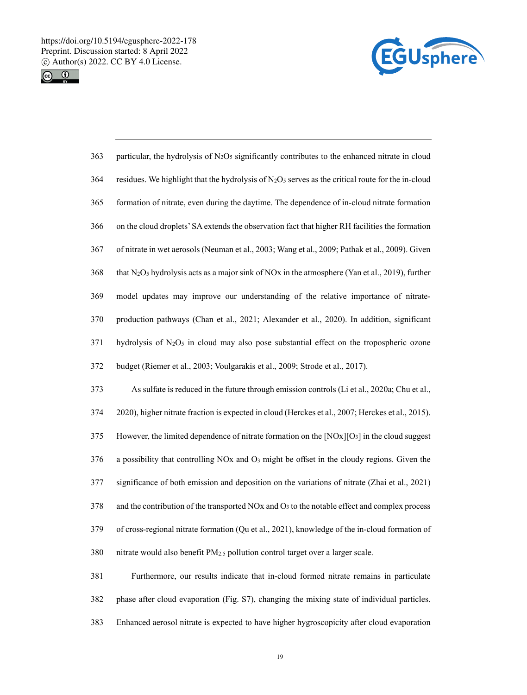



| 363 | particular, the hydrolysis of N <sub>2</sub> O <sub>5</sub> significantly contributes to the enhanced nitrate in cloud              |
|-----|-------------------------------------------------------------------------------------------------------------------------------------|
| 364 | residues. We highlight that the hydrolysis of $N_2O_5$ serves as the critical route for the in-cloud                                |
| 365 | formation of nitrate, even during the daytime. The dependence of in-cloud nitrate formation                                         |
| 366 | on the cloud droplets' SA extends the observation fact that higher RH facilities the formation                                      |
| 367 | of nitrate in wet aerosols (Neuman et al., 2003; Wang et al., 2009; Pathak et al., 2009). Given                                     |
| 368 | that N <sub>2</sub> O <sub>5</sub> hydrolysis acts as a major sink of NO <sub>x</sub> in the atmosphere (Yan et al., 2019), further |
| 369 | model updates may improve our understanding of the relative importance of nitrate-                                                  |
| 370 | production pathways (Chan et al., 2021; Alexander et al., 2020). In addition, significant                                           |
| 371 | hydrolysis of $N_2O_5$ in cloud may also pose substantial effect on the tropospheric ozone                                          |
| 372 | budget (Riemer et al., 2003; Voulgarakis et al., 2009; Strode et al., 2017).                                                        |
| 373 | As sulfate is reduced in the future through emission controls (Li et al., 2020a; Chu et al.,                                        |
| 374 | 2020), higher nitrate fraction is expected in cloud (Herckes et al., 2007; Herckes et al., 2015).                                   |
| 375 | However, the limited dependence of nitrate formation on the $[NOx][O3]$ in the cloud suggest                                        |
| 376 | a possibility that controlling NOx and O <sub>3</sub> might be offset in the cloudy regions. Given the                              |
| 377 | significance of both emission and deposition on the variations of nitrate (Zhai et al., 2021)                                       |
| 378 | and the contribution of the transported NOx and O <sub>3</sub> to the notable effect and complex process                            |
| 379 | of cross-regional nitrate formation (Qu et al., 2021), knowledge of the in-cloud formation of                                       |
| 380 | nitrate would also benefit PM2.5 pollution control target over a larger scale.                                                      |
| 381 | Furthermore, our results indicate that in-cloud formed nitrate remains in particulate                                               |
| 382 | phase after cloud evaporation (Fig. S7), changing the mixing state of individual particles.                                         |

383 Enhanced aerosol nitrate is expected to have higher hygroscopicity after cloud evaporation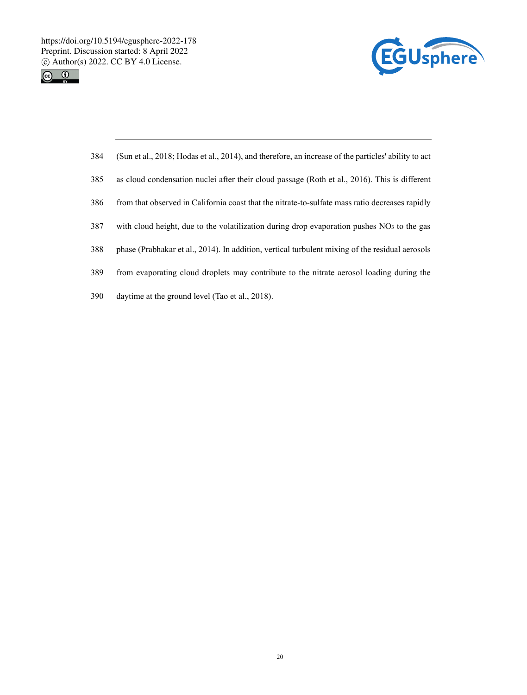https://doi.org/10.5194/egusphere-2022-178 Preprint. Discussion started: 8 April 2022  $\circledcirc$  Author(s) 2022. CC BY 4.0 License.<br>  $\circledcirc$   $\bullet$ 





| 384 | (Sun et al., 2018; Hodas et al., 2014), and therefore, an increase of the particles' ability to act    |
|-----|--------------------------------------------------------------------------------------------------------|
| 385 | as cloud condensation nuclei after their cloud passage (Roth et al., 2016). This is different          |
| 386 | from that observed in California coast that the nitrate-to-sulfate mass ratio decreases rapidly        |
| 387 | with cloud height, due to the volatilization during drop evaporation pushes NO <sub>3</sub> to the gas |
| 388 | phase (Prabhakar et al., 2014). In addition, vertical turbulent mixing of the residual aerosols        |
| 389 | from evaporating cloud droplets may contribute to the nitrate aerosol loading during the               |
| 390 | daytime at the ground level (Tao et al., 2018).                                                        |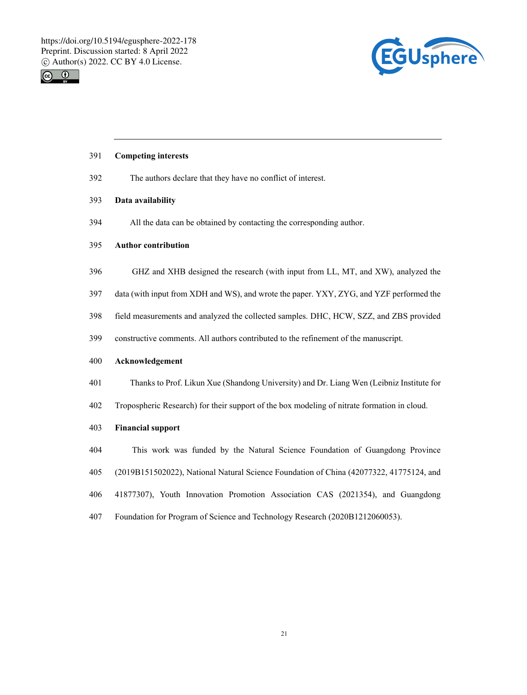



### 391 **Competing interests**

392 The authors declare that they have no conflict of interest.

#### 393 **Data availability**

394 All the data can be obtained by contacting the corresponding author.

#### 395 **Author contribution**

- 396 GHZ and XHB designed the research (with input from LL, MT, and XW), analyzed the
- 397 data (with input from XDH and WS), and wrote the paper. YXY, ZYG, and YZF performed the
- 398 field measurements and analyzed the collected samples. DHC, HCW, SZZ, and ZBS provided
- 399 constructive comments. All authors contributed to the refinement of the manuscript.

#### 400 **Acknowledgement**

- 401 Thanks to Prof. Likun Xue (Shandong University) and Dr. Liang Wen (Leibniz Institute for
- 402 Tropospheric Research) for their support of the box modeling of nitrate formation in cloud.

#### 403 **Financial support**

- 404 This work was funded by the Natural Science Foundation of Guangdong Province
- 405 (2019B151502022), National Natural Science Foundation of China (42077322, 41775124, and
- 406 41877307), Youth Innovation Promotion Association CAS (2021354), and Guangdong
- 407 Foundation for Program of Science and Technology Research (2020B1212060053).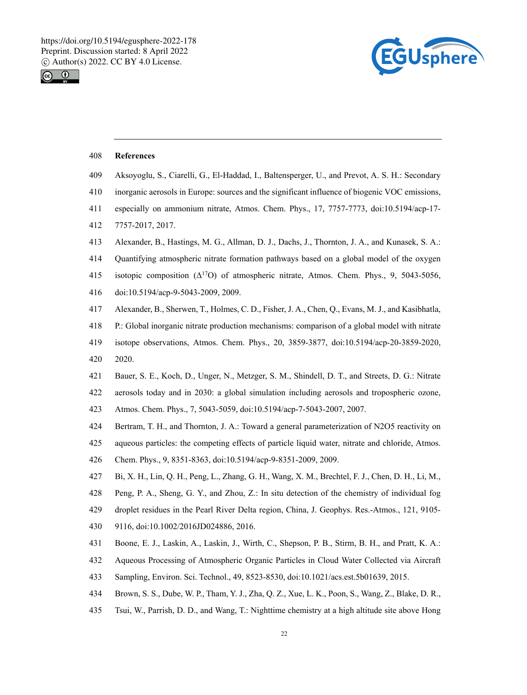



#### 408 **References**

- 409 Aksoyoglu, S., Ciarelli, G., El-Haddad, I., Baltensperger, U., and Prevot, A. S. H.: Secondary
- 410 inorganic aerosols in Europe: sources and the significant influence of biogenic VOC emissions,
- 411 especially on ammonium nitrate, Atmos. Chem. Phys., 17, 7757-7773, doi:10.5194/acp-17-
- 412 7757-2017, 2017.
- 413 Alexander, B., Hastings, M. G., Allman, D. J., Dachs, J., Thornton, J. A., and Kunasek, S. A.:
- 414 Quantifying atmospheric nitrate formation pathways based on a global model of the oxygen
- 415 isotopic composition  $(\Delta^{17}O)$  of atmospheric nitrate, Atmos. Chem. Phys., 9, 5043-5056,
- 416 doi:10.5194/acp-9-5043-2009, 2009.
- 417 Alexander, B., Sherwen, T., Holmes, C. D., Fisher, J. A., Chen, Q., Evans, M. J., and Kasibhatla,
- 418 P.: Global inorganic nitrate production mechanisms: comparison of a global model with nitrate
- 419 isotope observations, Atmos. Chem. Phys., 20, 3859-3877, doi:10.5194/acp-20-3859-2020,
- 420 2020.
- 421 Bauer, S. E., Koch, D., Unger, N., Metzger, S. M., Shindell, D. T., and Streets, D. G.: Nitrate
- 422 aerosols today and in 2030: a global simulation including aerosols and tropospheric ozone,
- 423 Atmos. Chem. Phys., 7, 5043-5059, doi:10.5194/acp-7-5043-2007, 2007.
- 424 Bertram, T. H., and Thornton, J. A.: Toward a general parameterization of N2O5 reactivity on
- 425 aqueous particles: the competing effects of particle liquid water, nitrate and chloride, Atmos.
- 426 Chem. Phys., 9, 8351-8363, doi:10.5194/acp-9-8351-2009, 2009.
- 427 Bi, X. H., Lin, Q. H., Peng, L., Zhang, G. H., Wang, X. M., Brechtel, F. J., Chen, D. H., Li, M.,
- 428 Peng, P. A., Sheng, G. Y., and Zhou, Z.: In situ detection of the chemistry of individual fog
- 429 droplet residues in the Pearl River Delta region, China, J. Geophys. Res.-Atmos., 121, 9105-
- 430 9116, doi:10.1002/2016JD024886, 2016.
- 431 Boone, E. J., Laskin, A., Laskin, J., Wirth, C., Shepson, P. B., Stirm, B. H., and Pratt, K. A.:
- 432 Aqueous Processing of Atmospheric Organic Particles in Cloud Water Collected via Aircraft
- 433 Sampling, Environ. Sci. Technol., 49, 8523-8530, doi:10.1021/acs.est.5b01639, 2015.
- 434 Brown, S. S., Dube, W. P., Tham, Y. J., Zha, Q. Z., Xue, L. K., Poon, S., Wang, Z., Blake, D. R.,
- 435 Tsui, W., Parrish, D. D., and Wang, T.: Nighttime chemistry at a high altitude site above Hong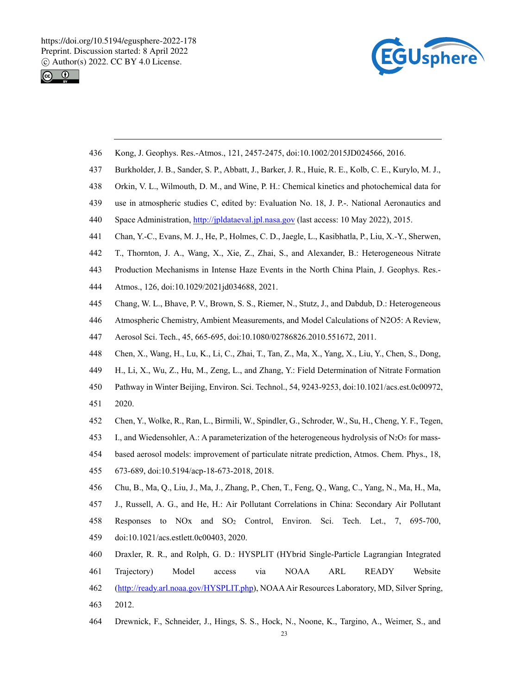



- 436 Kong, J. Geophys. Res.-Atmos., 121, 2457-2475, doi:10.1002/2015JD024566, 2016.
- 437 Burkholder, J. B., Sander, S. P., Abbatt, J., Barker, J. R., Huie, R. E., Kolb, C. E., Kurylo, M. J.,
- 438 Orkin, V. L., Wilmouth, D. M., and Wine, P. H.: Chemical kinetics and photochemical data for
- 439 use in atmospheric studies C, edited by: Evaluation No. 18, J. P.-. National Aeronautics and
- 440 Space Administration, http://jpldataeval.jpl.nasa.gov (last access: 10 May 2022), 2015.
- 441 Chan, Y.-C., Evans, M. J., He, P., Holmes, C. D., Jaegle, L., Kasibhatla, P., Liu, X.-Y., Sherwen,
- 442 T., Thornton, J. A., Wang, X., Xie, Z., Zhai, S., and Alexander, B.: Heterogeneous Nitrate
- 443 Production Mechanisms in Intense Haze Events in the North China Plain, J. Geophys. Res.-
- 444 Atmos., 126, doi:10.1029/2021jd034688, 2021.
- 445 Chang, W. L., Bhave, P. V., Brown, S. S., Riemer, N., Stutz, J., and Dabdub, D.: Heterogeneous
- 446 Atmospheric Chemistry, Ambient Measurements, and Model Calculations of N2O5: A Review,
- 447 Aerosol Sci. Tech., 45, 665-695, doi:10.1080/02786826.2010.551672, 2011.
- 448 Chen, X., Wang, H., Lu, K., Li, C., Zhai, T., Tan, Z., Ma, X., Yang, X., Liu, Y., Chen, S., Dong,
- 449 H., Li, X., Wu, Z., Hu, M., Zeng, L., and Zhang, Y.: Field Determination of Nitrate Formation
- 450 Pathway in Winter Beijing, Environ. Sci. Technol., 54, 9243-9253, doi:10.1021/acs.est.0c00972,
- 451 2020.
- 452 Chen, Y., Wolke, R., Ran, L., Birmili, W., Spindler, G., Schroder, W., Su, H., Cheng, Y. F., Tegen,
- 453 I., and Wiedensohler, A.: A parameterization of the heterogeneous hydrolysis of N<sub>2</sub>O<sub>5</sub> for mass-
- 454 based aerosol models: improvement of particulate nitrate prediction, Atmos. Chem. Phys., 18,
- 455 673-689, doi:10.5194/acp-18-673-2018, 2018.
- 456 Chu, B., Ma, Q., Liu, J., Ma, J., Zhang, P., Chen, T., Feng, Q., Wang, C., Yang, N., Ma, H., Ma,
- 457 J., Russell, A. G., and He, H.: Air Pollutant Correlations in China: Secondary Air Pollutant
- 458 Responses to NOx and SO2 Control, Environ. Sci. Tech. Let., 7, 695-700, 459 doi:10.1021/acs.estlett.0c00403, 2020.
- 460 Draxler, R. R., and Rolph, G. D.: HYSPLIT (HYbrid Single-Particle Lagrangian Integrated
- 461 Trajectory) Model access via NOAA ARL READY Website 462 (http://ready.arl.noaa.gov/HYSPLIT.php), NOAA Air Resources Laboratory, MD, Silver Spring, 463 2012.
- 464 Drewnick, F., Schneider, J., Hings, S. S., Hock, N., Noone, K., Targino, A., Weimer, S., and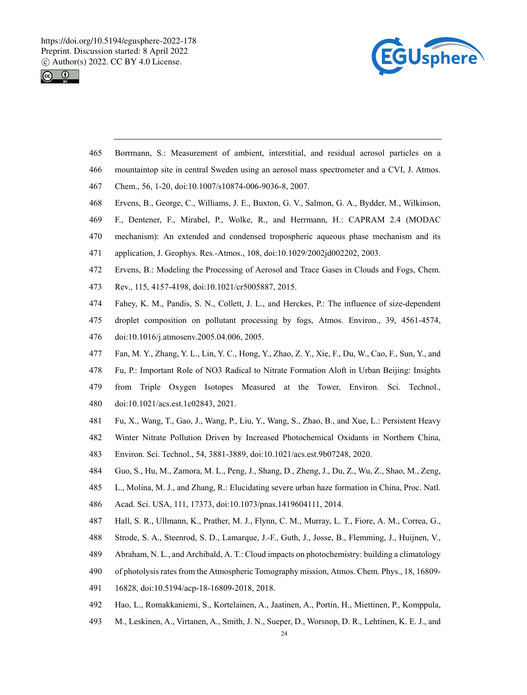



- 465 Borrmann, S.: Measurement of ambient, interstitial, and residual aerosol particles on a
- 466 mountaintop site in central Sweden using an aerosol mass spectrometer and a CVI, J. Atmos.
- 467 Chem., 56, 1-20, doi:10.1007/s10874-006-9036-8, 2007.
- 468 Ervens, B., George, C., Williams, J. E., Buxton, G. V., Salmon, G. A., Bydder, M., Wilkinson,
- 469 F., Dentener, F., Mirabel, P., Wolke, R., and Herrmann, H.: CAPRAM 2.4 (MODAC
- 470 mechanism): An extended and condensed tropospheric aqueous phase mechanism and its
- 471 application, J. Geophys. Res.-Atmos., 108, doi:10.1029/2002jd002202, 2003.
- 472 Ervens, B.: Modeling the Processing of Aerosol and Trace Gases in Clouds and Fogs, Chem.
- 473 Rev., 115, 4157-4198, doi:10.1021/cr5005887, 2015.
- 474 Fahey, K. M., Pandis, S. N., Collett, J. L., and Herckes, P.: The influence of size-dependent
- 475 droplet composition on pollutant processing by fogs, Atmos. Environ., 39, 4561-4574,
- 476 doi:10.1016/j.atmosenv.2005.04.006, 2005.
- 477 Fan, M. Y., Zhang, Y. L., Lin, Y. C., Hong, Y., Zhao, Z. Y., Xie, F., Du, W., Cao, F., Sun, Y., and
- 478 Fu, P.: Important Role of NO3 Radical to Nitrate Formation Aloft in Urban Beijing: Insights
- 479 from Triple Oxygen Isotopes Measured at the Tower, Environ. Sci. Technol., 480 doi:10.1021/acs.est.1c02843, 2021.
- 481 Fu, X., Wang, T., Gao, J., Wang, P., Liu, Y., Wang, S., Zhao, B., and Xue, L.: Persistent Heavy
- 482 Winter Nitrate Pollution Driven by Increased Photochemical Oxidants in Northern China,
- 483 Environ. Sci. Technol., 54, 3881-3889, doi:10.1021/acs.est.9b07248, 2020.
- 484 Guo, S., Hu, M., Zamora, M. L., Peng, J., Shang, D., Zheng, J., Du, Z., Wu, Z., Shao, M., Zeng,
- 485 L., Molina, M. J., and Zhang, R.: Elucidating severe urban haze formation in China, Proc. Natl.
- 486 Acad. Sci. USA, 111, 17373, doi:10.1073/pnas.1419604111, 2014.
- 487 Hall, S. R., Ullmann, K., Prather, M. J., Flynn, C. M., Murray, L. T., Fiore, A. M., Correa, G.,
- 488 Strode, S. A., Steenrod, S. D., Lamarque, J.-F., Guth, J., Josse, B., Flemming, J., Huijnen, V.,
- 489 Abraham, N. L., and Archibald, A. T.: Cloud impacts on photochemistry: building a climatology
- 490 of photolysis rates from the Atmospheric Tomography mission, Atmos. Chem. Phys., 18, 16809-
- 491 16828, doi:10.5194/acp-18-16809-2018, 2018.
- 492 Hao, L., Romakkaniemi, S., Kortelainen, A., Jaatinen, A., Portin, H., Miettinen, P., Komppula,
- 493 M., Leskinen, A., Virtanen, A., Smith, J. N., Sueper, D., Worsnop, D. R., Lehtinen, K. E. J., and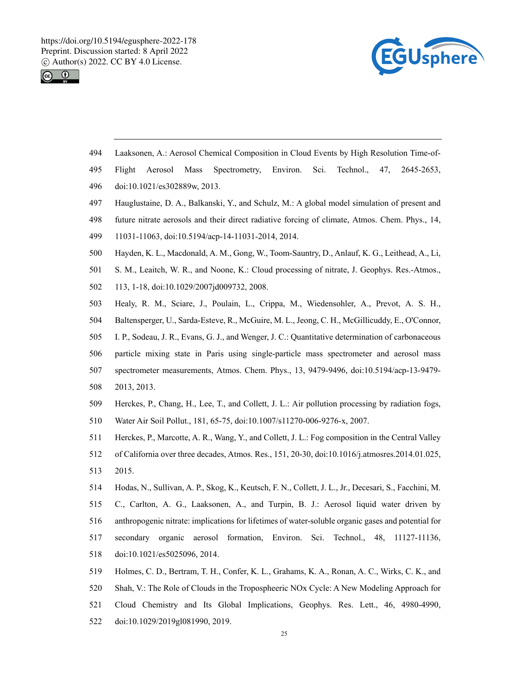



- 494 Laaksonen, A.: Aerosol Chemical Composition in Cloud Events by High Resolution Time-of-
- 495 Flight Aerosol Mass Spectrometry, Environ. Sci. Technol., 47, 2645-2653,
- 496 doi:10.1021/es302889w, 2013.
- 497 Hauglustaine, D. A., Balkanski, Y., and Schulz, M.: A global model simulation of present and
- 498 future nitrate aerosols and their direct radiative forcing of climate, Atmos. Chem. Phys., 14,
- 499 11031-11063, doi:10.5194/acp-14-11031-2014, 2014.
- 500 Hayden, K. L., Macdonald, A. M., Gong, W., Toom-Sauntry, D., Anlauf, K. G., Leithead, A., Li,
- 501 S. M., Leaitch, W. R., and Noone, K.: Cloud processing of nitrate, J. Geophys. Res.-Atmos.,
- 502 113, 1-18, doi:10.1029/2007jd009732, 2008.
- 503 Healy, R. M., Sciare, J., Poulain, L., Crippa, M., Wiedensohler, A., Prevot, A. S. H.,
- 504 Baltensperger, U., Sarda-Esteve, R., McGuire, M. L., Jeong, C. H., McGillicuddy, E., O'Connor,
- 505 I. P., Sodeau, J. R., Evans, G. J., and Wenger, J. C.: Quantitative determination of carbonaceous
- 506 particle mixing state in Paris using single-particle mass spectrometer and aerosol mass
- 507 spectrometer measurements, Atmos. Chem. Phys., 13, 9479-9496, doi:10.5194/acp-13-9479-
- 508 2013, 2013.
- 509 Herckes, P., Chang, H., Lee, T., and Collett, J. L.: Air pollution processing by radiation fogs,
- 510 Water Air Soil Pollut., 181, 65-75, doi:10.1007/s11270-006-9276-x, 2007.
- 511 Herckes, P., Marcotte, A. R., Wang, Y., and Collett, J. L.: Fog composition in the Central Valley
- 512 of California over three decades, Atmos. Res., 151, 20-30, doi:10.1016/j.atmosres.2014.01.025, 513 2015.
- 514 Hodas, N., Sullivan, A. P., Skog, K., Keutsch, F. N., Collett, J. L., Jr., Decesari, S., Facchini, M. 515 C., Carlton, A. G., Laaksonen, A., and Turpin, B. J.: Aerosol liquid water driven by 516 anthropogenic nitrate: implications for lifetimes of water-soluble organic gases and potential for 517 secondary organic aerosol formation, Environ. Sci. Technol., 48, 11127-11136, 518 doi:10.1021/es5025096, 2014.
- 519 Holmes, C. D., Bertram, T. H., Confer, K. L., Grahams, K. A., Ronan, A. C., Wirks, C. K., and 520 Shah, V.: The Role of Clouds in the Tropospheeric NOx Cycle: A New Modeling Approach for 521 Cloud Chemistry and Its Global Implications, Geophys. Res. Lett., 46, 4980-4990, 522 doi:10.1029/2019gl081990, 2019.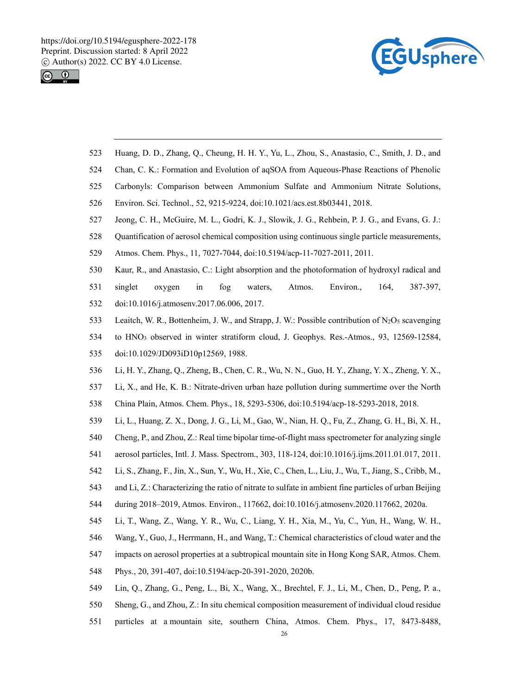



- 523 Huang, D. D., Zhang, Q., Cheung, H. H. Y., Yu, L., Zhou, S., Anastasio, C., Smith, J. D., and
- 524 Chan, C. K.: Formation and Evolution of aqSOA from Aqueous-Phase Reactions of Phenolic
- 525 Carbonyls: Comparison between Ammonium Sulfate and Ammonium Nitrate Solutions,
- 526 Environ. Sci. Technol., 52, 9215-9224, doi:10.1021/acs.est.8b03441, 2018.
- 527 Jeong, C. H., McGuire, M. L., Godri, K. J., Slowik, J. G., Rehbein, P. J. G., and Evans, G. J.:
- 528 Quantification of aerosol chemical composition using continuous single particle measurements,
- 529 Atmos. Chem. Phys., 11, 7027-7044, doi:10.5194/acp-11-7027-2011, 2011.
- 530 Kaur, R., and Anastasio, C.: Light absorption and the photoformation of hydroxyl radical and
- 531 singlet oxygen in fog waters, Atmos. Environ., 164, 387-397,
- 532 doi:10.1016/j.atmosenv.2017.06.006, 2017.
- 533 Leaitch, W. R., Bottenheim, J. W., and Strapp, J. W.: Possible contribution of N2O5 scavenging
- 534 to HNO3 observed in winter stratiform cloud, J. Geophys. Res.-Atmos., 93, 12569-12584,
- 535 doi:10.1029/JD093iD10p12569, 1988.
- 536 Li, H. Y., Zhang, Q., Zheng, B., Chen, C. R., Wu, N. N., Guo, H. Y., Zhang, Y. X., Zheng, Y. X.,
- 537 Li, X., and He, K. B.: Nitrate-driven urban haze pollution during summertime over the North
- 538 China Plain, Atmos. Chem. Phys., 18, 5293-5306, doi:10.5194/acp-18-5293-2018, 2018.
- 539 Li, L., Huang, Z. X., Dong, J. G., Li, M., Gao, W., Nian, H. Q., Fu, Z., Zhang, G. H., Bi, X. H.,
- 540 Cheng, P., and Zhou, Z.: Real time bipolar time-of-flight mass spectrometer for analyzing single
- 541 aerosol particles, Intl. J. Mass. Spectrom., 303, 118-124, doi:10.1016/j.ijms.2011.01.017, 2011.
- 542 Li, S., Zhang, F., Jin, X., Sun, Y., Wu, H., Xie, C., Chen, L., Liu, J., Wu, T., Jiang, S., Cribb, M.,
- 543 and Li, Z.: Characterizing the ratio of nitrate to sulfate in ambient fine particles of urban Beijing
- 544 during 2018–2019, Atmos. Environ., 117662, doi:10.1016/j.atmosenv.2020.117662, 2020a.
- 545 Li, T., Wang, Z., Wang, Y. R., Wu, C., Liang, Y. H., Xia, M., Yu, C., Yun, H., Wang, W. H.,
- 546 Wang, Y., Guo, J., Herrmann, H., and Wang, T.: Chemical characteristics of cloud water and the
- 547 impacts on aerosol properties at a subtropical mountain site in Hong Kong SAR, Atmos. Chem.
- 548 Phys., 20, 391-407, doi:10.5194/acp-20-391-2020, 2020b.
- 549 Lin, Q., Zhang, G., Peng, L., Bi, X., Wang, X., Brechtel, F. J., Li, M., Chen, D., Peng, P. a.,
- 550 Sheng, G., and Zhou, Z.: In situ chemical composition measurement of individual cloud residue
- 551 particles at a mountain site, southern China, Atmos. Chem. Phys., 17, 8473-8488,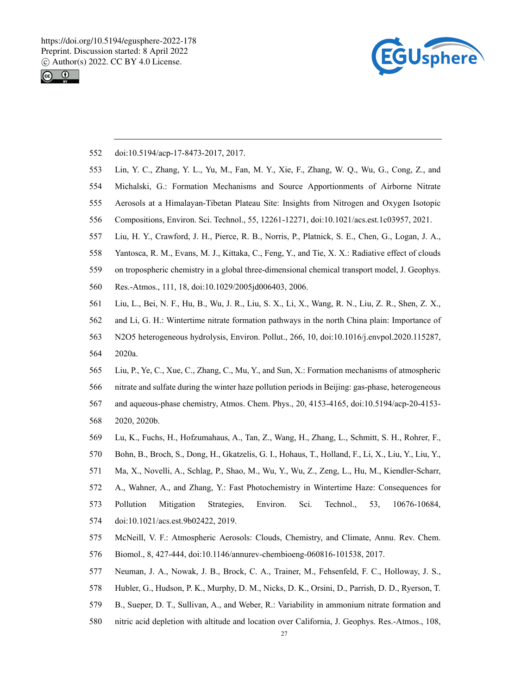



- 552 doi:10.5194/acp-17-8473-2017, 2017.
- 553 Lin, Y. C., Zhang, Y. L., Yu, M., Fan, M. Y., Xie, F., Zhang, W. Q., Wu, G., Cong, Z., and
- 554 Michalski, G.: Formation Mechanisms and Source Apportionments of Airborne Nitrate
- 555 Aerosols at a Himalayan-Tibetan Plateau Site: Insights from Nitrogen and Oxygen Isotopic
- 556 Compositions, Environ. Sci. Technol., 55, 12261-12271, doi:10.1021/acs.est.1c03957, 2021.
- 557 Liu, H. Y., Crawford, J. H., Pierce, R. B., Norris, P., Platnick, S. E., Chen, G., Logan, J. A.,
- 558 Yantosca, R. M., Evans, M. J., Kittaka, C., Feng, Y., and Tie, X. X.: Radiative effect of clouds
- 559 on tropospheric chemistry in a global three-dimensional chemical transport model, J. Geophys.
- 560 Res.-Atmos., 111, 18, doi:10.1029/2005jd006403, 2006.
- 561 Liu, L., Bei, N. F., Hu, B., Wu, J. R., Liu, S. X., Li, X., Wang, R. N., Liu, Z. R., Shen, Z. X.,
- 562 and Li, G. H.: Wintertime nitrate formation pathways in the north China plain: Importance of
- 563 N2O5 heterogeneous hydrolysis, Environ. Pollut., 266, 10, doi:10.1016/j.envpol.2020.115287,
- 564 2020a.
- 565 Liu, P., Ye, C., Xue, C., Zhang, C., Mu, Y., and Sun, X.: Formation mechanisms of atmospheric
- 566 nitrate and sulfate during the winter haze pollution periods in Beijing: gas-phase, heterogeneous
- 567 and aqueous-phase chemistry, Atmos. Chem. Phys., 20, 4153-4165, doi:10.5194/acp-20-4153-
- 568 2020, 2020b.
- 569 Lu, K., Fuchs, H., Hofzumahaus, A., Tan, Z., Wang, H., Zhang, L., Schmitt, S. H., Rohrer, F.,
- 570 Bohn, B., Broch, S., Dong, H., Gkatzelis, G. I., Hohaus, T., Holland, F., Li, X., Liu, Y., Liu, Y.,
- 571 Ma, X., Novelli, A., Schlag, P., Shao, M., Wu, Y., Wu, Z., Zeng, L., Hu, M., Kiendler-Scharr,
- 572 A., Wahner, A., and Zhang, Y.: Fast Photochemistry in Wintertime Haze: Consequences for
- 573 Pollution Mitigation Strategies, Environ. Sci. Technol., 53, 10676-10684,
- 574 doi:10.1021/acs.est.9b02422, 2019.
- 575 McNeill, V. F.: Atmospheric Aerosols: Clouds, Chemistry, and Climate, Annu. Rev. Chem.
- 576 Biomol., 8, 427-444, doi:10.1146/annurev-chembioeng-060816-101538, 2017.
- 577 Neuman, J. A., Nowak, J. B., Brock, C. A., Trainer, M., Fehsenfeld, F. C., Holloway, J. S.,
- 578 Hubler, G., Hudson, P. K., Murphy, D. M., Nicks, D. K., Orsini, D., Parrish, D. D., Ryerson, T.
- 579 B., Sueper, D. T., Sullivan, A., and Weber, R.: Variability in ammonium nitrate formation and
- 580 nitric acid depletion with altitude and location over California, J. Geophys. Res.-Atmos., 108,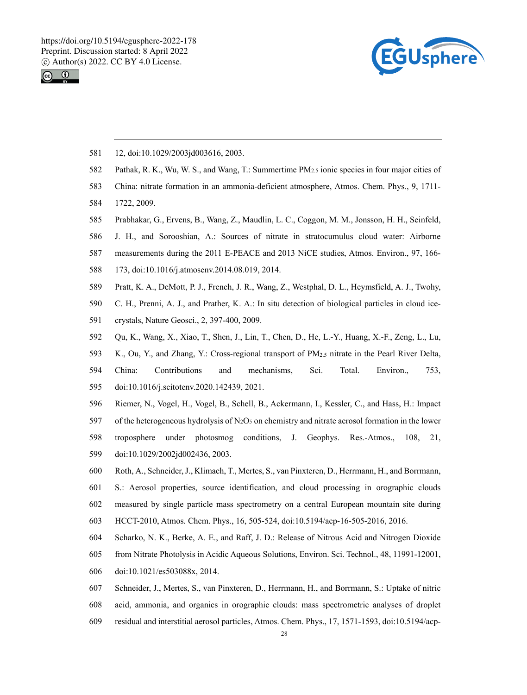



- 581 12, doi:10.1029/2003jd003616, 2003.
- 582 Pathak, R. K., Wu, W. S., and Wang, T.: Summertime PM2.5 ionic species in four major cities of
- 583 China: nitrate formation in an ammonia-deficient atmosphere, Atmos. Chem. Phys., 9, 1711-
- 584 1722, 2009.
- 585 Prabhakar, G., Ervens, B., Wang, Z., Maudlin, L. C., Coggon, M. M., Jonsson, H. H., Seinfeld,
- 586 J. H., and Sorooshian, A.: Sources of nitrate in stratocumulus cloud water: Airborne
- 587 measurements during the 2011 E-PEACE and 2013 NiCE studies, Atmos. Environ., 97, 166-
- 588 173, doi:10.1016/j.atmosenv.2014.08.019, 2014.
- 589 Pratt, K. A., DeMott, P. J., French, J. R., Wang, Z., Westphal, D. L., Heymsfield, A. J., Twohy,
- 590 C. H., Prenni, A. J., and Prather, K. A.: In situ detection of biological particles in cloud ice-
- 591 crystals, Nature Geosci., 2, 397-400, 2009.
- 592 Qu, K., Wang, X., Xiao, T., Shen, J., Lin, T., Chen, D., He, L.-Y., Huang, X.-F., Zeng, L., Lu,
- 593 K., Ou, Y., and Zhang, Y.: Cross-regional transport of PM2.5 nitrate in the Pearl River Delta,
- 594 China: Contributions and mechanisms, Sci. Total. Environ., 753,
- 595 doi:10.1016/j.scitotenv.2020.142439, 2021.
- 596 Riemer, N., Vogel, H., Vogel, B., Schell, B., Ackermann, I., Kessler, C., and Hass, H.: Impact
- 597 of the heterogeneous hydrolysis of N<sub>2</sub>O<sub>5</sub> on chemistry and nitrate aerosol formation in the lower
- 598 troposphere under photosmog conditions, J. Geophys. Res.-Atmos., 108, 21,
- 599 doi:10.1029/2002jd002436, 2003.
- 600 Roth, A., Schneider, J., Klimach, T., Mertes, S., van Pinxteren, D., Herrmann, H., and Borrmann,
- 601 S.: Aerosol properties, source identification, and cloud processing in orographic clouds
- 602 measured by single particle mass spectrometry on a central European mountain site during
- 603 HCCT-2010, Atmos. Chem. Phys., 16, 505-524, doi:10.5194/acp-16-505-2016, 2016.
- 604 Scharko, N. K., Berke, A. E., and Raff, J. D.: Release of Nitrous Acid and Nitrogen Dioxide
- 605 from Nitrate Photolysis in Acidic Aqueous Solutions, Environ. Sci. Technol., 48, 11991-12001,
- 606 doi:10.1021/es503088x, 2014.
- 607 Schneider, J., Mertes, S., van Pinxteren, D., Herrmann, H., and Borrmann, S.: Uptake of nitric
- 608 acid, ammonia, and organics in orographic clouds: mass spectrometric analyses of droplet
- 609 residual and interstitial aerosol particles, Atmos. Chem. Phys., 17, 1571-1593, doi:10.5194/acp-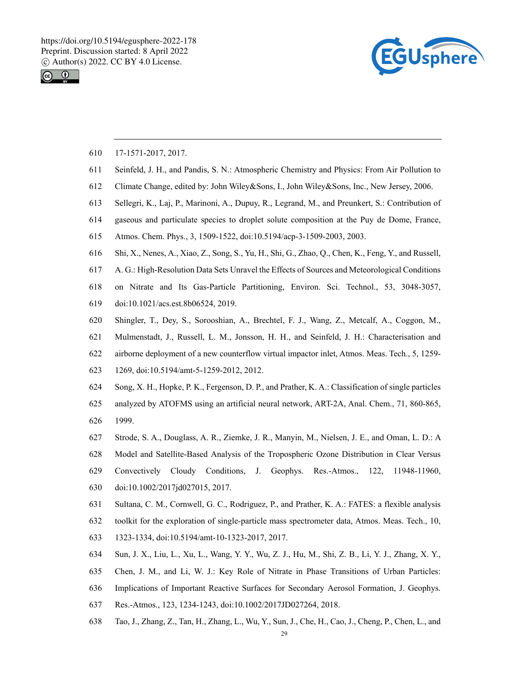



- 610 17-1571-2017, 2017.
- 611 Seinfeld, J. H., and Pandis, S. N.: Atmospheric Chemistry and Physics: From Air Pollution to
- 612 Climate Change, edited by: John Wiley&Sons, I., John Wiley&Sons, Inc., New Jersey, 2006.
- 613 Sellegri, K., Laj, P., Marinoni, A., Dupuy, R., Legrand, M., and Preunkert, S.: Contribution of
- 614 gaseous and particulate species to droplet solute composition at the Puy de Dome, France,
- 615 Atmos. Chem. Phys., 3, 1509-1522, doi:10.5194/acp-3-1509-2003, 2003.
- 616 Shi, X., Nenes, A., Xiao, Z., Song, S., Yu, H., Shi, G., Zhao, Q., Chen, K., Feng, Y., and Russell,
- 617 A. G.: High-Resolution Data Sets Unravel the Effects of Sources and Meteorological Conditions
- 618 on Nitrate and Its Gas-Particle Partitioning, Environ. Sci. Technol., 53, 3048-3057,
- 619 doi:10.1021/acs.est.8b06524, 2019.
- 620 Shingler, T., Dey, S., Sorooshian, A., Brechtel, F. J., Wang, Z., Metcalf, A., Coggon, M.,
- 621 Mulmenstadt, J., Russell, L. M., Jonsson, H. H., and Seinfeld, J. H.: Characterisation and
- 622 airborne deployment of a new counterflow virtual impactor inlet, Atmos. Meas. Tech., 5, 1259-
- 623 1269, doi:10.5194/amt-5-1259-2012, 2012.
- 624 Song, X. H., Hopke, P. K., Fergenson, D. P., and Prather, K. A.: Classification of single particles
- 625 analyzed by ATOFMS using an artificial neural network, ART-2A, Anal. Chem., 71, 860-865, 626 1999.
- 627 Strode, S. A., Douglass, A. R., Ziemke, J. R., Manyin, M., Nielsen, J. E., and Oman, L. D.: A
- 628 Model and Satellite-Based Analysis of the Tropospheric Ozone Distribution in Clear Versus
- 629 Convectively Cloudy Conditions, J. Geophys. Res.-Atmos., 122, 11948-11960, 630 doi:10.1002/2017jd027015, 2017.
- 631 Sultana, C. M., Cornwell, G. C., Rodriguez, P., and Prather, K. A.: FATES: a flexible analysis
- 632 toolkit for the exploration of single-particle mass spectrometer data, Atmos. Meas. Tech., 10,
- 633 1323-1334, doi:10.5194/amt-10-1323-2017, 2017.
- 634 Sun, J. X., Liu, L., Xu, L., Wang, Y. Y., Wu, Z. J., Hu, M., Shi, Z. B., Li, Y. J., Zhang, X. Y.,
- 635 Chen, J. M., and Li, W. J.: Key Role of Nitrate in Phase Transitions of Urban Particles:
- 636 Implications of Important Reactive Surfaces for Secondary Aerosol Formation, J. Geophys.
- 637 Res.-Atmos., 123, 1234-1243, doi:10.1002/2017JD027264, 2018.
- 638 Tao, J., Zhang, Z., Tan, H., Zhang, L., Wu, Y., Sun, J., Che, H., Cao, J., Cheng, P., Chen, L., and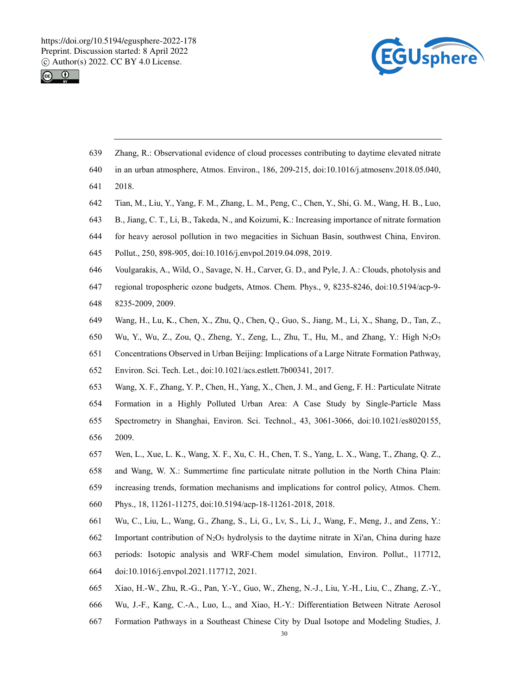



- 639 Zhang, R.: Observational evidence of cloud processes contributing to daytime elevated nitrate
- 640 in an urban atmosphere, Atmos. Environ., 186, 209-215, doi:10.1016/j.atmosenv.2018.05.040,
- 641 2018.
- 642 Tian, M., Liu, Y., Yang, F. M., Zhang, L. M., Peng, C., Chen, Y., Shi, G. M., Wang, H. B., Luo,
- 643 B., Jiang, C. T., Li, B., Takeda, N., and Koizumi, K.: Increasing importance of nitrate formation
- 644 for heavy aerosol pollution in two megacities in Sichuan Basin, southwest China, Environ.
- 645 Pollut., 250, 898-905, doi:10.1016/j.envpol.2019.04.098, 2019.
- 646 Voulgarakis, A., Wild, O., Savage, N. H., Carver, G. D., and Pyle, J. A.: Clouds, photolysis and
- 647 regional tropospheric ozone budgets, Atmos. Chem. Phys., 9, 8235-8246, doi:10.5194/acp-9-
- 648 8235-2009, 2009.
- 649 Wang, H., Lu, K., Chen, X., Zhu, Q., Chen, Q., Guo, S., Jiang, M., Li, X., Shang, D., Tan, Z.,
- 650 Wu, Y., Wu, Z., Zou, Q., Zheng, Y., Zeng, L., Zhu, T., Hu, M., and Zhang, Y.: High N2O5
- 651 Concentrations Observed in Urban Beijing: Implications of a Large Nitrate Formation Pathway,
- 652 Environ. Sci. Tech. Let., doi:10.1021/acs.estlett.7b00341, 2017.
- 653 Wang, X. F., Zhang, Y. P., Chen, H., Yang, X., Chen, J. M., and Geng, F. H.: Particulate Nitrate
- 654 Formation in a Highly Polluted Urban Area: A Case Study by Single-Particle Mass
- 655 Spectrometry in Shanghai, Environ. Sci. Technol., 43, 3061-3066, doi:10.1021/es8020155, 656 2009.
- 657 Wen, L., Xue, L. K., Wang, X. F., Xu, C. H., Chen, T. S., Yang, L. X., Wang, T., Zhang, Q. Z.,
- 658 and Wang, W. X.: Summertime fine particulate nitrate pollution in the North China Plain: 659 increasing trends, formation mechanisms and implications for control policy, Atmos. Chem.
- 660 Phys., 18, 11261-11275, doi:10.5194/acp-18-11261-2018, 2018.
- 661 Wu, C., Liu, L., Wang, G., Zhang, S., Li, G., Lv, S., Li, J., Wang, F., Meng, J., and Zens, Y.:
- 662 Important contribution of  $N_2O_5$  hydrolysis to the daytime nitrate in Xi'an, China during haze
- 663 periods: Isotopic analysis and WRF-Chem model simulation, Environ. Pollut., 117712,
- 664 doi:10.1016/j.envpol.2021.117712, 2021.
- 665 Xiao, H.-W., Zhu, R.-G., Pan, Y.-Y., Guo, W., Zheng, N.-J., Liu, Y.-H., Liu, C., Zhang, Z.-Y.,
- 666 Wu, J.-F., Kang, C.-A., Luo, L., and Xiao, H.-Y.: Differentiation Between Nitrate Aerosol
- 667 Formation Pathways in a Southeast Chinese City by Dual Isotope and Modeling Studies, J.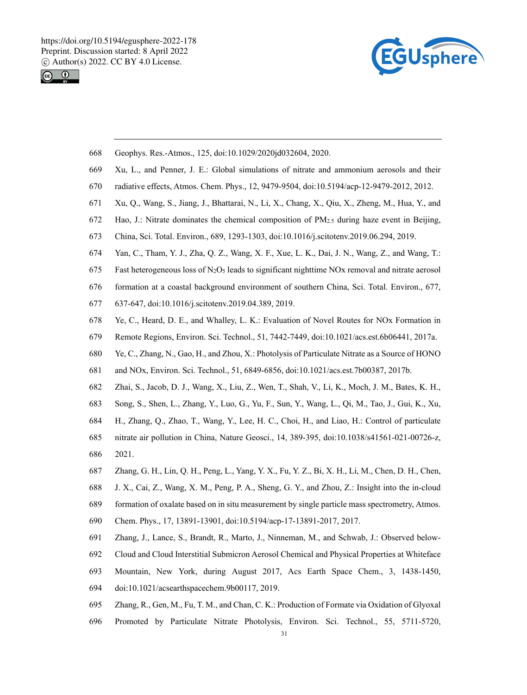



- 668 Geophys. Res.-Atmos., 125, doi:10.1029/2020jd032604, 2020.
- 669 Xu, L., and Penner, J. E.: Global simulations of nitrate and ammonium aerosols and their
- 670 radiative effects, Atmos. Chem. Phys., 12, 9479-9504, doi:10.5194/acp-12-9479-2012, 2012.
- 671 Xu, Q., Wang, S., Jiang, J., Bhattarai, N., Li, X., Chang, X., Qiu, X., Zheng, M., Hua, Y., and
- 672 Hao, J.: Nitrate dominates the chemical composition of PM2.5 during haze event in Beijing,
- 673 China, Sci. Total. Environ., 689, 1293-1303, doi:10.1016/j.scitotenv.2019.06.294, 2019.
- 674 Yan, C., Tham, Y. J., Zha, Q. Z., Wang, X. F., Xue, L. K., Dai, J. N., Wang, Z., and Wang, T.:
- 675 Fast heterogeneous loss of N<sub>2</sub>O<sub>5</sub> leads to significant nighttime NO<sub>x</sub> removal and nitrate aerosol
- 676 formation at a coastal background environment of southern China, Sci. Total. Environ., 677,
- 677 637-647, doi:10.1016/j.scitotenv.2019.04.389, 2019.
- 678 Ye, C., Heard, D. E., and Whalley, L. K.: Evaluation of Novel Routes for NOx Formation in
- 679 Remote Regions, Environ. Sci. Technol., 51, 7442-7449, doi:10.1021/acs.est.6b06441, 2017a.
- 680 Ye, C., Zhang, N., Gao, H., and Zhou, X.: Photolysis of Particulate Nitrate as a Source of HONO
- 681 and NOx, Environ. Sci. Technol., 51, 6849-6856, doi:10.1021/acs.est.7b00387, 2017b.
- 682 Zhai, S., Jacob, D. J., Wang, X., Liu, Z., Wen, T., Shah, V., Li, K., Moch, J. M., Bates, K. H.,
- 683 Song, S., Shen, L., Zhang, Y., Luo, G., Yu, F., Sun, Y., Wang, L., Qi, M., Tao, J., Gui, K., Xu,
- 684 H., Zhang, Q., Zhao, T., Wang, Y., Lee, H. C., Choi, H., and Liao, H.: Control of particulate
- 685 nitrate air pollution in China, Nature Geosci., 14, 389-395, doi:10.1038/s41561-021-00726-z,
- 686 2021.
- 687 Zhang, G. H., Lin, Q. H., Peng, L., Yang, Y. X., Fu, Y. Z., Bi, X. H., Li, M., Chen, D. H., Chen,
- 688 J. X., Cai, Z., Wang, X. M., Peng, P. A., Sheng, G. Y., and Zhou, Z.: Insight into the in-cloud
- 689 formation of oxalate based on in situ measurement by single particle mass spectrometry, Atmos.
- 690 Chem. Phys., 17, 13891-13901, doi:10.5194/acp-17-13891-2017, 2017.
- 691 Zhang, J., Lance, S., Brandt, R., Marto, J., Ninneman, M., and Schwab, J.: Observed below-
- 692 Cloud and Cloud Interstitial Submicron Aerosol Chemical and Physical Properties at Whiteface
- 693 Mountain, New York, during August 2017, Acs Earth Space Chem., 3, 1438-1450,
- 694 doi:10.1021/acsearthspacechem.9b00117, 2019.
- 695 Zhang, R., Gen, M., Fu, T. M., and Chan, C. K.: Production of Formate via Oxidation of Glyoxal
- 696 Promoted by Particulate Nitrate Photolysis, Environ. Sci. Technol., 55, 5711-5720,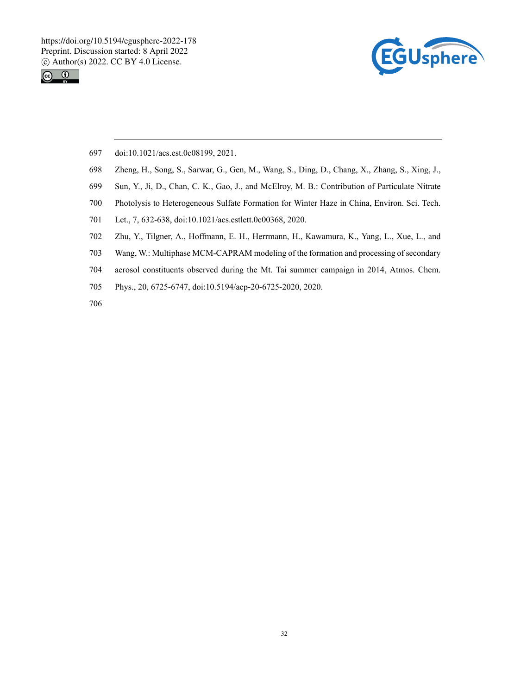



- 697 doi:10.1021/acs.est.0c08199, 2021.
- 698 Zheng, H., Song, S., Sarwar, G., Gen, M., Wang, S., Ding, D., Chang, X., Zhang, S., Xing, J.,
- 699 Sun, Y., Ji, D., Chan, C. K., Gao, J., and McElroy, M. B.: Contribution of Particulate Nitrate
- 700 Photolysis to Heterogeneous Sulfate Formation for Winter Haze in China, Environ. Sci. Tech.
- 701 Let., 7, 632-638, doi:10.1021/acs.estlett.0c00368, 2020.
- 702 Zhu, Y., Tilgner, A., Hoffmann, E. H., Herrmann, H., Kawamura, K., Yang, L., Xue, L., and
- 703 Wang, W.: Multiphase MCM-CAPRAM modeling of the formation and processing of secondary
- 704 aerosol constituents observed during the Mt. Tai summer campaign in 2014, Atmos. Chem.
- 705 Phys., 20, 6725-6747, doi:10.5194/acp-20-6725-2020, 2020.
- 706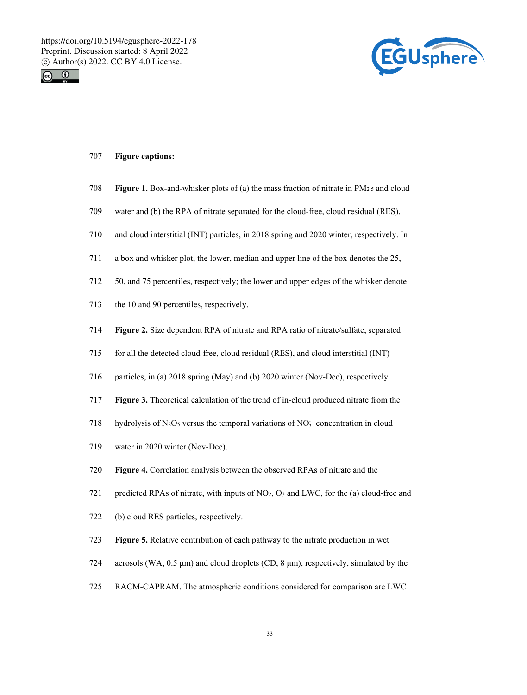



### 707 **Figure captions:**

- 708 **Figure 1.** Box-and-whisker plots of (a) the mass fraction of nitrate in PM2.5 and cloud
- 709 water and (b) the RPA of nitrate separated for the cloud-free, cloud residual (RES),
- 710 and cloud interstitial (INT) particles, in 2018 spring and 2020 winter, respectively. In
- 711 a box and whisker plot, the lower, median and upper line of the box denotes the 25,
- 712 50, and 75 percentiles, respectively; the lower and upper edges of the whisker denote
- 713 the 10 and 90 percentiles, respectively.
- 714 **Figure 2.** Size dependent RPA of nitrate and RPA ratio of nitrate/sulfate, separated
- 715 for all the detected cloud-free, cloud residual (RES), and cloud interstitial (INT)
- 716 particles, in (a) 2018 spring (May) and (b) 2020 winter (Nov-Dec), respectively.
- 717 **Figure 3.** Theoretical calculation of the trend of in-cloud produced nitrate from the
- 718 hydrolysis of N<sub>2</sub>O<sub>5</sub> versus the temporal variations of NO<sub>3</sub> concentration in cloud
- 719 water in 2020 winter (Nov-Dec).
- 720 **Figure 4.** Correlation analysis between the observed RPAs of nitrate and the
- 721 predicted RPAs of nitrate, with inputs of  $NO<sub>2</sub>, O<sub>3</sub>$  and LWC, for the (a) cloud-free and
- 722 (b) cloud RES particles, respectively.
- 723 **Figure 5.** Relative contribution of each pathway to the nitrate production in wet
- 724 aerosols (WA, 0.5 μm) and cloud droplets (CD, 8 μm), respectively, simulated by the
- 725 RACM-CAPRAM. The atmospheric conditions considered for comparison are LWC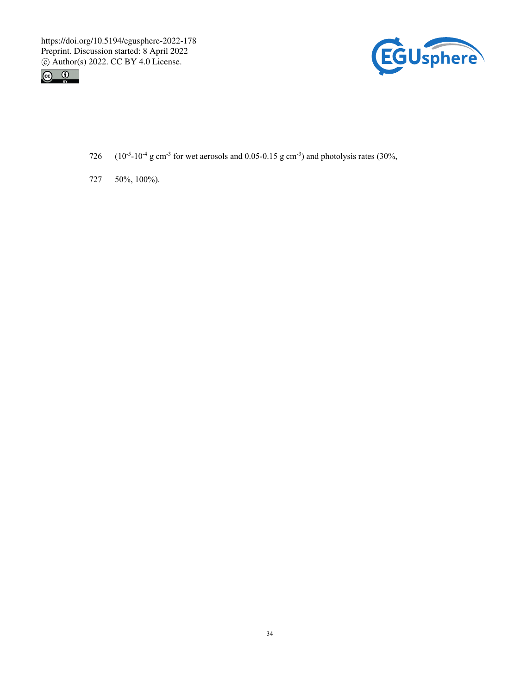



- 726 ( $10^{-5}$ - $10^{-4}$  g cm<sup>-3</sup> for wet aerosols and 0.05-0.15 g cm<sup>-3</sup>) and photolysis rates (30%,
- 727 50%, 100%).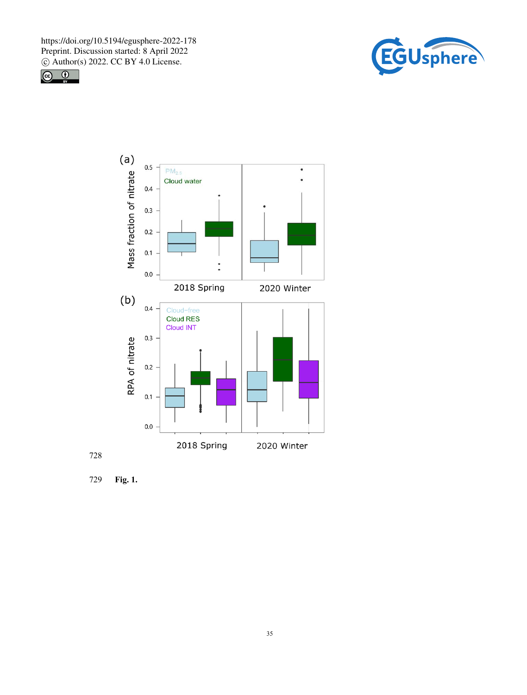





728

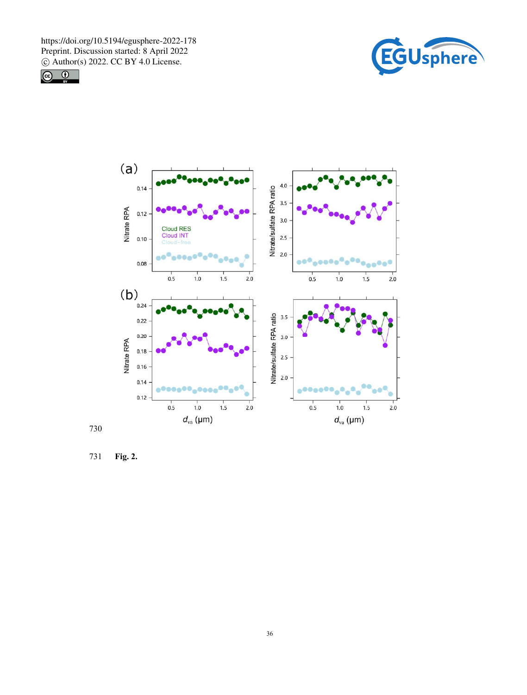







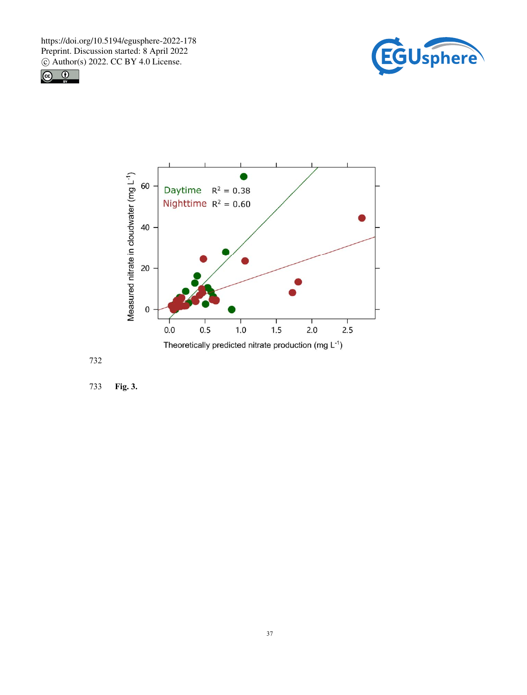







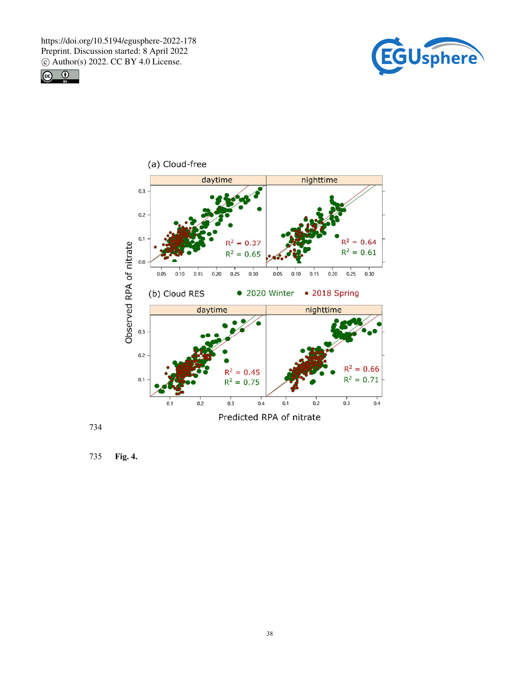





734

735 **Fig. 4.**